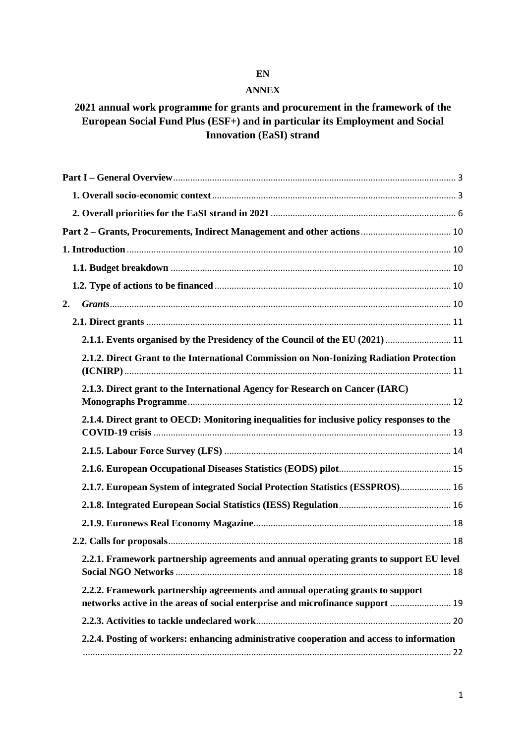# **EN**

#### **ANNEX**

# **2021 annual work programme for grants and procurement in the framework of the European Social Fund Plus (ESF+) and in particular its Employment and Social Innovation (EaSI) strand**

| 2.                                                                                                                                                               |  |
|------------------------------------------------------------------------------------------------------------------------------------------------------------------|--|
|                                                                                                                                                                  |  |
| 2.1.1. Events organised by the Presidency of the Council of the EU (2021)  11                                                                                    |  |
| 2.1.2. Direct Grant to the International Commission on Non-Ionizing Radiation Protection                                                                         |  |
| 2.1.3. Direct grant to the International Agency for Research on Cancer (IARC)                                                                                    |  |
| 2.1.4. Direct grant to OECD: Monitoring inequalities for inclusive policy responses to the                                                                       |  |
|                                                                                                                                                                  |  |
|                                                                                                                                                                  |  |
| 2.1.7. European System of integrated Social Protection Statistics (ESSPROS) 16                                                                                   |  |
|                                                                                                                                                                  |  |
|                                                                                                                                                                  |  |
|                                                                                                                                                                  |  |
| 2.2.1. Framework partnership agreements and annual operating grants to support EU level                                                                          |  |
| 2.2.2. Framework partnership agreements and annual operating grants to support<br>networks active in the areas of social enterprise and microfinance support  19 |  |
|                                                                                                                                                                  |  |
| 2.2.4. Posting of workers: enhancing administrative cooperation and access to information                                                                        |  |
|                                                                                                                                                                  |  |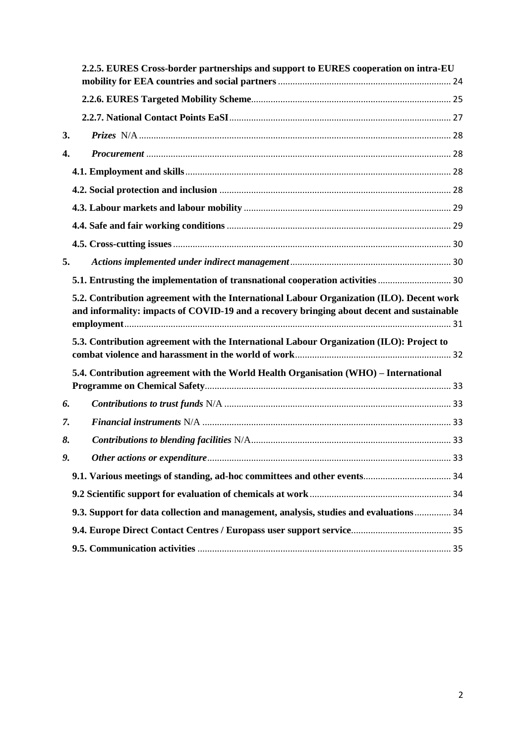|    | 2.2.5. EURES Cross-border partnerships and support to EURES cooperation on intra-EU                                                                                                    |  |
|----|----------------------------------------------------------------------------------------------------------------------------------------------------------------------------------------|--|
|    |                                                                                                                                                                                        |  |
|    |                                                                                                                                                                                        |  |
| 3. |                                                                                                                                                                                        |  |
| 4. |                                                                                                                                                                                        |  |
|    |                                                                                                                                                                                        |  |
|    |                                                                                                                                                                                        |  |
|    |                                                                                                                                                                                        |  |
|    |                                                                                                                                                                                        |  |
|    |                                                                                                                                                                                        |  |
| 5. |                                                                                                                                                                                        |  |
|    | 5.1. Entrusting the implementation of transnational cooperation activities  30                                                                                                         |  |
|    | 5.2. Contribution agreement with the International Labour Organization (ILO). Decent work<br>and informality: impacts of COVID-19 and a recovery bringing about decent and sustainable |  |
|    | 5.3. Contribution agreement with the International Labour Organization (ILO): Project to                                                                                               |  |
|    | 5.4. Contribution agreement with the World Health Organisation (WHO) - International                                                                                                   |  |
| 6. |                                                                                                                                                                                        |  |
| 7. |                                                                                                                                                                                        |  |
| 8. |                                                                                                                                                                                        |  |
| 9. |                                                                                                                                                                                        |  |
|    |                                                                                                                                                                                        |  |
|    |                                                                                                                                                                                        |  |
|    | 9.3. Support for data collection and management, analysis, studies and evaluations 34                                                                                                  |  |
|    |                                                                                                                                                                                        |  |
|    |                                                                                                                                                                                        |  |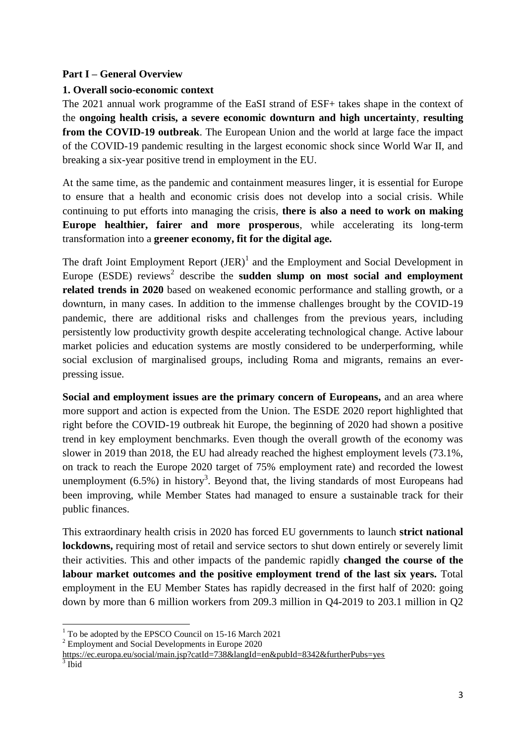# <span id="page-2-0"></span>**Part I – General Overview**

## <span id="page-2-1"></span>**1. Overall socio-economic context**

The 2021 annual work programme of the EaSI strand of ESF+ takes shape in the context of the **ongoing health crisis, a severe economic downturn and high uncertainty**, **resulting from the COVID-19 outbreak**. The European Union and the world at large face the impact of the COVID-19 pandemic resulting in the largest economic shock since World War II, and breaking a six-year positive trend in employment in the EU.

At the same time, as the pandemic and containment measures linger, it is essential for Europe to ensure that a health and economic crisis does not develop into a social crisis. While continuing to put efforts into managing the crisis, **there is also a need to work on making Europe healthier, fairer and more prosperous**, while accelerating its long-term transformation into a **greener economy, fit for the digital age.** 

The draft Joint Employment Report  $(JER)^1$  and the Employment and Social Development in Europe  $(ESDE)$  reviews<sup>2</sup> describe the **sudden slump on most social and employment related trends in 2020** based on weakened economic performance and stalling growth, or a downturn, in many cases. In addition to the immense challenges brought by the COVID-19 pandemic, there are additional risks and challenges from the previous years, including persistently low productivity growth despite accelerating technological change. Active labour market policies and education systems are mostly considered to be underperforming, while social exclusion of marginalised groups, including Roma and migrants, remains an everpressing issue.

**Social and employment issues are the primary concern of Europeans,** and an area where more support and action is expected from the Union. The ESDE 2020 report highlighted that right before the COVID-19 outbreak hit Europe, the beginning of 2020 had shown a positive trend in key employment benchmarks. Even though the overall growth of the economy was slower in 2019 than 2018, the EU had already reached the highest employment levels (73.1%, on track to reach the Europe 2020 target of 75% employment rate) and recorded the lowest unemployment  $(6.5\%)$  in history<sup>3</sup>. Beyond that, the living standards of most Europeans had been improving, while Member States had managed to ensure a sustainable track for their public finances.

This extraordinary health crisis in 2020 has forced EU governments to launch **strict national lockdowns,** requiring most of retail and service sectors to shut down entirely or severely limit their activities. This and other impacts of the pandemic rapidly **changed the course of the labour market outcomes and the positive employment trend of the last six years.** Total employment in the EU Member States has rapidly decreased in the first half of 2020: going down by more than 6 million workers from 209.3 million in Q4-2019 to 203.1 million in Q2

**<sup>.</sup>**  $1$  To be adopted by the EPSCO Council on 15-16 March 2021

<sup>&</sup>lt;sup>2</sup> Employment and Social Developments in Europe 2020

<https://ec.europa.eu/social/main.jsp?catId=738&langId=en&pubId=8342&furtherPubs=yes>

 $3$  Ibid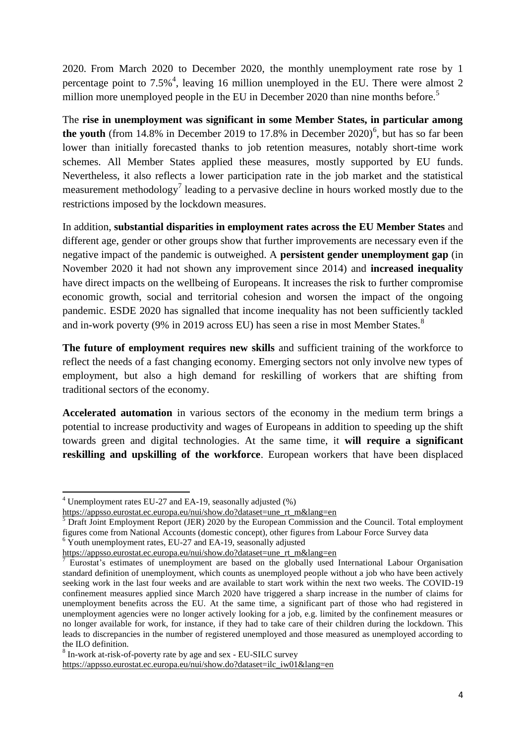2020. From March 2020 to December 2020, the monthly unemployment rate rose by 1 percentage point to 7.5%<sup>4</sup>, leaving 16 million unemployed in the EU. There were almost 2 million more unemployed people in the EU in December 2020 than nine months before.<sup>5</sup>

The **rise in unemployment was significant in some Member States, in particular among**  the youth (from  $14.8\%$  in December 2019 to 17.8% in December  $2020$ <sup>6</sup>, but has so far been lower than initially forecasted thanks to job retention measures, notably short-time work schemes. All Member States applied these measures, mostly supported by EU funds. Nevertheless, it also reflects a lower participation rate in the job market and the statistical measurement methodology<sup>7</sup> leading to a pervasive decline in hours worked mostly due to the restrictions imposed by the lockdown measures.

In addition, **substantial disparities in employment rates across the EU Member States** and different age, gender or other groups show that further improvements are necessary even if the negative impact of the pandemic is outweighed. A **persistent gender unemployment gap** (in November 2020 it had not shown any improvement since 2014) and **increased inequality** have direct impacts on the wellbeing of Europeans. It increases the risk to further compromise economic growth, social and territorial cohesion and worsen the impact of the ongoing pandemic. ESDE 2020 has signalled that income inequality has not been sufficiently tackled and in-work poverty (9% in 2019 across EU) has seen a rise in most Member States.<sup>8</sup>

**The future of employment requires new skills** and sufficient training of the workforce to reflect the needs of a fast changing economy. Emerging sectors not only involve new types of employment, but also a high demand for reskilling of workers that are shifting from traditional sectors of the economy.

**Accelerated automation** in various sectors of the economy in the medium term brings a potential to increase productivity and wages of Europeans in addition to speeding up the shift towards green and digital technologies. At the same time, it **will require a significant reskilling and upskilling of the workforce**. European workers that have been displaced

1

 $4$  Unemployment rates EU-27 and EA-19, seasonally adjusted  $(\%)$ 

[https://appsso.eurostat.ec.europa.eu/nui/show.do?dataset=une\\_rt\\_m&lang=en](https://appsso.eurostat.ec.europa.eu/nui/show.do?dataset=une_rt_m&lang=en)

<sup>5</sup> Draft Joint Employment Report (JER) 2020 by the European Commission and the Council. Total employment figures come from National Accounts (domestic concept), other figures from Labour Force Survey data  $6$  Youth unemployment rates, EU-27 and EA-19, seasonally adjusted

[https://appsso.eurostat.ec.europa.eu/nui/show.do?dataset=une\\_rt\\_m&lang=en](https://appsso.eurostat.ec.europa.eu/nui/show.do?dataset=une_rt_m&lang=en)

<sup>7</sup> Eurostat's estimates of unemployment are based on the globally used International Labour Organisation standard definition of unemployment, which counts as unemployed people without a job who have been actively seeking work in the last four weeks and are available to start work within the next two weeks. The COVID-19 confinement measures applied since March 2020 have triggered a sharp increase in the number of claims for unemployment benefits across the EU. At the same time, a significant part of those who had registered in unemployment agencies were no longer actively looking for a job, e.g. limited by the confinement measures or no longer available for work, for instance, if they had to take care of their children during the lockdown. This leads to discrepancies in the number of registered unemployed and those measured as unemployed according to the ILO definition.

<sup>&</sup>lt;sup>8</sup> In-work at-risk-of-poverty rate by age and sex - EU-SILC survey [https://appsso.eurostat.ec.europa.eu/nui/show.do?dataset=ilc\\_iw01&lang=en](https://appsso.eurostat.ec.europa.eu/nui/show.do?dataset=ilc_iw01&lang=en)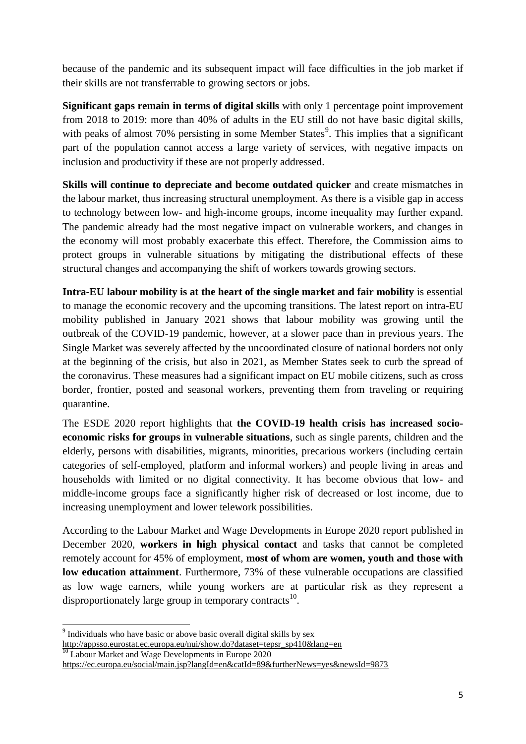because of the pandemic and its subsequent impact will face difficulties in the job market if their skills are not transferrable to growing sectors or jobs.

**Significant gaps remain in terms of digital skills** with only 1 percentage point improvement from 2018 to 2019: more than 40% of adults in the EU still do not have basic digital skills, with peaks of almost 70% persisting in some Member States<sup>9</sup>. This implies that a significant part of the population cannot access a large variety of services, with negative impacts on inclusion and productivity if these are not properly addressed.

**Skills will continue to depreciate and become outdated quicker** and create mismatches in the labour market, thus increasing structural unemployment. As there is a visible gap in access to technology between low- and high-income groups, income inequality may further expand. The pandemic already had the most negative impact on vulnerable workers, and changes in the economy will most probably exacerbate this effect. Therefore, the Commission aims to protect groups in vulnerable situations by mitigating the distributional effects of these structural changes and accompanying the shift of workers towards growing sectors.

**Intra-EU labour mobility is at the heart of the single market and fair mobility** is essential to manage the economic recovery and the upcoming transitions. The latest report on intra-EU mobility published in January 2021 shows that labour mobility was growing until the outbreak of the COVID-19 pandemic, however, at a slower pace than in previous years. The Single Market was severely affected by the uncoordinated closure of national borders not only at the beginning of the crisis, but also in 2021, as Member States seek to curb the spread of the coronavirus. These measures had a significant impact on EU mobile citizens, such as cross border, frontier, posted and seasonal workers, preventing them from traveling or requiring quarantine.

The ESDE 2020 report highlights that **the COVID-19 health crisis has increased socioeconomic risks for groups in vulnerable situations**, such as single parents, children and the elderly, persons with disabilities, migrants, minorities, precarious workers (including certain categories of self-employed, platform and informal workers) and people living in areas and households with limited or no digital connectivity. It has become obvious that low- and middle-income groups face a significantly higher risk of decreased or lost income, due to increasing unemployment and lower telework possibilities.

According to the Labour Market and Wage Developments in Europe 2020 report published in December 2020, **workers in high physical contact** and tasks that cannot be completed remotely account for 45% of employment, **most of whom are women, youth and those with low education attainment**. Furthermore, 73% of these vulnerable occupations are classified as low wage earners, while young workers are at particular risk as they represent a disproportionately large group in temporary contracts<sup>10</sup>.

<sup>10</sup> Labour Market and Wage Developments in Europe 2020

**<sup>.</sup>** <sup>9</sup> Individuals who have basic or above basic overall digital skills by sex [http://appsso.eurostat.ec.europa.eu/nui/show.do?dataset=tepsr\\_sp410&lang=en](http://appsso.eurostat.ec.europa.eu/nui/show.do?dataset=tepsr_sp410&lang=en)

<https://ec.europa.eu/social/main.jsp?langId=en&catId=89&furtherNews=yes&newsId=9873>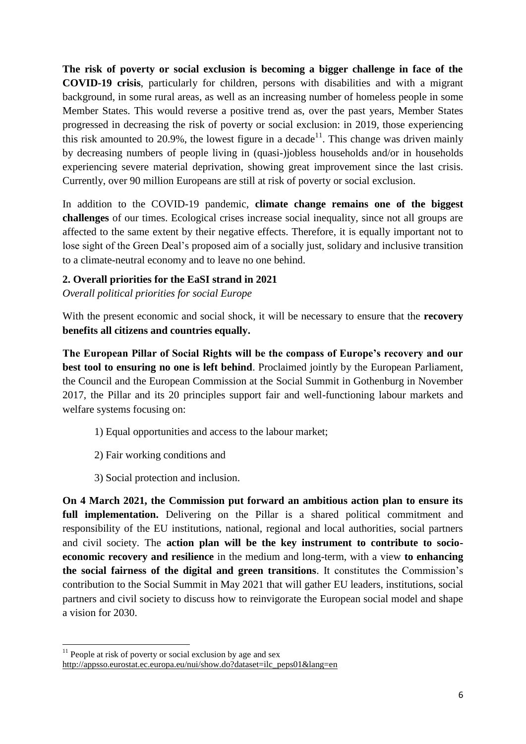**The risk of poverty or social exclusion is becoming a bigger challenge in face of the COVID-19 crisis**, particularly for children, persons with disabilities and with a migrant background, in some rural areas, as well as an increasing number of homeless people in some Member States. This would reverse a positive trend as, over the past years, Member States progressed in decreasing the risk of poverty or social exclusion: in 2019, those experiencing this risk amounted to 20.9%, the lowest figure in a decade<sup>11</sup>. This change was driven mainly by decreasing numbers of people living in (quasi-)jobless households and/or in households experiencing severe material deprivation, showing great improvement since the last crisis. Currently, over 90 million Europeans are still at risk of poverty or social exclusion.

In addition to the COVID-19 pandemic, **climate change remains one of the biggest challenges** of our times. Ecological crises increase social inequality, since not all groups are affected to the same extent by their negative effects. Therefore, it is equally important not to lose sight of the Green Deal's proposed aim of a socially just, solidary and inclusive transition to a climate-neutral economy and to leave no one behind.

## <span id="page-5-0"></span>**2. Overall priorities for the EaSI strand in 2021**

*Overall political priorities for social Europe* 

With the present economic and social shock, it will be necessary to ensure that the **recovery benefits all citizens and countries equally.**

**The European Pillar of Social Rights will be the compass of Europe's recovery and our best tool to ensuring no one is left behind**. Proclaimed jointly by the European Parliament, the Council and the European Commission at the Social Summit in Gothenburg in November 2017, the Pillar and its 20 principles support fair and well-functioning labour markets and welfare systems focusing on:

- 1) Equal opportunities and access to the labour market;
- 2) Fair working conditions and

1

3) Social protection and inclusion.

**On 4 March 2021, the Commission put forward an ambitious action plan to ensure its full implementation.** Delivering on the Pillar is a shared political commitment and responsibility of the EU institutions, national, regional and local authorities, social partners and civil society. The **action plan will be the key instrument to contribute to socioeconomic recovery and resilience** in the medium and long-term, with a view **to enhancing the social fairness of the digital and green transitions**. It constitutes the Commission's contribution to the Social Summit in May 2021 that will gather EU leaders, institutions, social partners and civil society to discuss how to reinvigorate the European social model and shape a vision for 2030.

 $11$  People at risk of poverty or social exclusion by age and sex [http://appsso.eurostat.ec.europa.eu/nui/show.do?dataset=ilc\\_peps01&lang=en](http://appsso.eurostat.ec.europa.eu/nui/show.do?dataset=ilc_peps01&lang=en)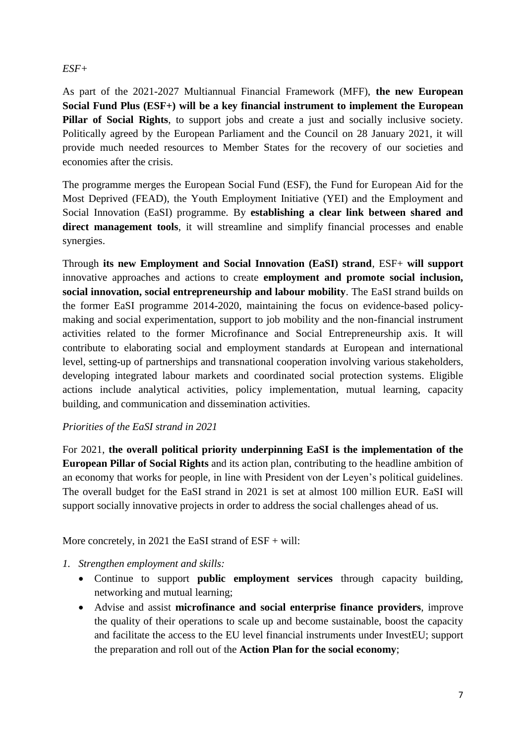# *ESF+*

As part of the 2021-2027 Multiannual Financial Framework (MFF), **the new European Social Fund Plus (ESF+) will be a key financial instrument to implement the European Pillar of Social Rights**, to support jobs and create a just and socially inclusive society. Politically agreed by the European Parliament and the Council on 28 January 2021, it will provide much needed resources to Member States for the recovery of our societies and economies after the crisis.

The programme merges the European Social Fund (ESF), the Fund for European Aid for the Most Deprived (FEAD), the Youth Employment Initiative (YEI) and the Employment and Social Innovation (EaSI) programme. By **establishing a clear link between shared and direct management tools**, it will streamline and simplify financial processes and enable synergies.

Through **its new Employment and Social Innovation (EaSI) strand**, ESF+ **will support**  innovative approaches and actions to create **employment and promote social inclusion, social innovation, social entrepreneurship and labour mobility**. The EaSI strand builds on the former EaSI programme 2014-2020, maintaining the focus on evidence-based policymaking and social experimentation, support to job mobility and the non-financial instrument activities related to the former Microfinance and Social Entrepreneurship axis. It will contribute to elaborating social and employment standards at European and international level, setting-up of partnerships and transnational cooperation involving various stakeholders, developing integrated labour markets and coordinated social protection systems. Eligible actions include analytical activities, policy implementation, mutual learning, capacity building, and communication and dissemination activities.

# *Priorities of the EaSI strand in 2021*

For 2021, **the overall political priority underpinning EaSI is the implementation of the European Pillar of Social Rights** and its action plan, contributing to the headline ambition of an economy that works for people, in line with President von der Leyen's political guidelines. The overall budget for the EaSI strand in 2021 is set at almost 100 million EUR. EaSI will support socially innovative projects in order to address the social challenges ahead of us.

More concretely, in 2021 the EaSI strand of ESF + will:

- *1. Strengthen employment and skills:*
	- Continue to support **public employment services** through capacity building, networking and mutual learning;
	- Advise and assist **microfinance and social enterprise finance providers**, improve the quality of their operations to scale up and become sustainable, boost the capacity and facilitate the access to the EU level financial instruments under InvestEU; support the preparation and roll out of the **Action Plan for the social economy**;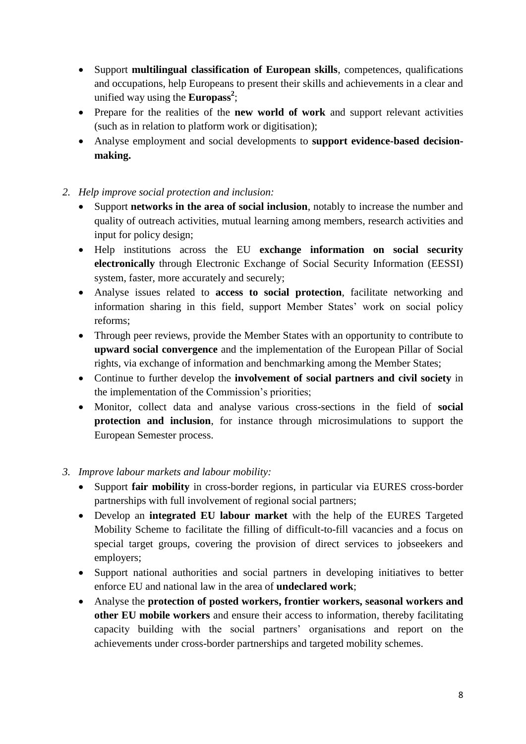- Support **multilingual classification of European skills**, competences, qualifications and occupations, help Europeans to present their skills and achievements in a clear and unified way using the **Europass<sup>2</sup>** ;
- Prepare for the realities of the **new world of work** and support relevant activities (such as in relation to platform work or digitisation);
- Analyse employment and social developments to **support evidence-based decisionmaking.**
- *2. Help improve social protection and inclusion:*
	- Support **networks in the area of social inclusion**, notably to increase the number and quality of outreach activities, mutual learning among members, research activities and input for policy design;
	- Help institutions across the EU **exchange information on social security electronically** through Electronic Exchange of Social Security Information (EESSI) system, faster, more accurately and securely;
	- Analyse issues related to **access to social protection**, facilitate networking and information sharing in this field, support Member States' work on social policy reforms;
	- Through peer reviews, provide the Member States with an opportunity to contribute to **upward social convergence** and the implementation of the European Pillar of Social rights, via exchange of information and benchmarking among the Member States;
	- Continue to further develop the **involvement of social partners and civil society** in the implementation of the Commission's priorities;
	- Monitor, collect data and analyse various cross-sections in the field of **social protection and inclusion**, for instance through microsimulations to support the European Semester process.

# *3. Improve labour markets and labour mobility:*

- Support **fair mobility** in cross-border regions, in particular via EURES cross-border partnerships with full involvement of regional social partners;
- Develop an **integrated EU labour market** with the help of the EURES Targeted Mobility Scheme to facilitate the filling of difficult-to-fill vacancies and a focus on special target groups, covering the provision of direct services to jobseekers and employers;
- Support national authorities and social partners in developing initiatives to better enforce EU and national law in the area of **undeclared work**;
- Analyse the **protection of posted workers, frontier workers, seasonal workers and other EU mobile workers** and ensure their access to information, thereby facilitating capacity building with the social partners' organisations and report on the achievements under cross-border partnerships and targeted mobility schemes.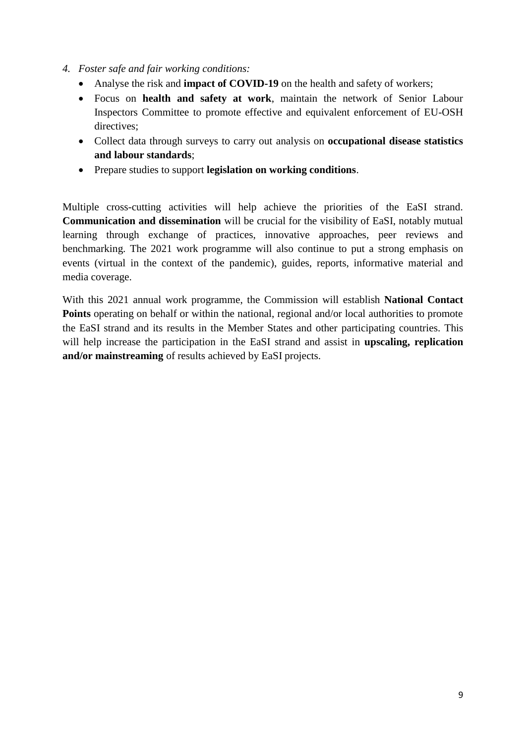- *4. Foster safe and fair working conditions:*
	- Analyse the risk and **impact of COVID-19** on the health and safety of workers;
	- Focus on **health and safety at work**, maintain the network of Senior Labour Inspectors Committee to promote effective and equivalent enforcement of EU-OSH directives;
	- Collect data through surveys to carry out analysis on **occupational disease statistics and labour standards**;
	- Prepare studies to support **legislation on working conditions**.

Multiple cross-cutting activities will help achieve the priorities of the EaSI strand. **Communication and dissemination** will be crucial for the visibility of EaSI, notably mutual learning through exchange of practices, innovative approaches, peer reviews and benchmarking. The 2021 work programme will also continue to put a strong emphasis on events (virtual in the context of the pandemic), guides, reports, informative material and media coverage.

With this 2021 annual work programme, the Commission will establish **National Contact Points** operating on behalf or within the national, regional and/or local authorities to promote the EaSI strand and its results in the Member States and other participating countries. This will help increase the participation in the EaSI strand and assist in **upscaling, replication and/or mainstreaming** of results achieved by EaSI projects.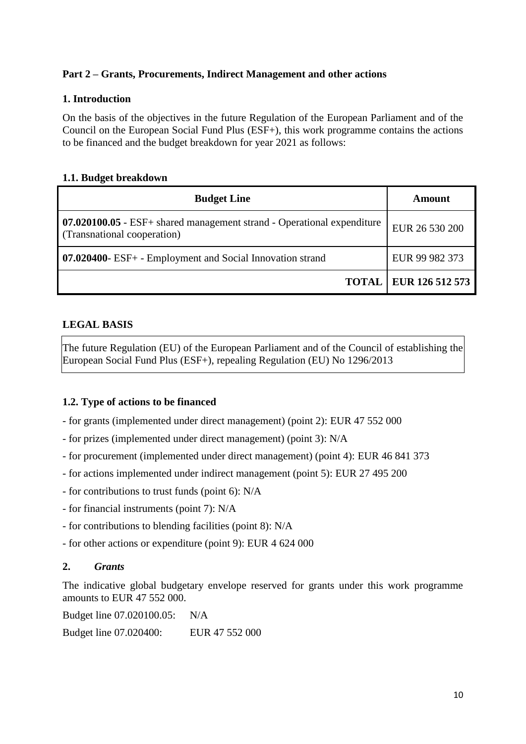# <span id="page-9-0"></span>**Part 2 – Grants, Procurements, Indirect Management and other actions**

# <span id="page-9-1"></span>**1. Introduction**

On the basis of the objectives in the future Regulation of the European Parliament and of the Council on the European Social Fund Plus (ESF+), this work programme contains the actions to be financed and the budget breakdown for year 2021 as follows:

# <span id="page-9-2"></span>**1.1. Budget breakdown**

| <b>Budget Line</b>                                                                                           | Amount                         |
|--------------------------------------------------------------------------------------------------------------|--------------------------------|
| <b>07.020100.05</b> - ESF+ shared management strand - Operational expenditure<br>(Transnational cooperation) | EUR 26 530 200                 |
| <b>07.020400-</b> ESF+ - Employment and Social Innovation strand                                             | EUR 99 982 373                 |
|                                                                                                              | <b>TOTAL   EUR 126 512 573</b> |

# **LEGAL BASIS**

The future Regulation (EU) of the European Parliament and of the Council of establishing the European Social Fund Plus (ESF+), repealing Regulation (EU) No 1296/2013

# <span id="page-9-3"></span>**1.2. Type of actions to be financed**

- for grants (implemented under direct management) (point 2): EUR 47 552 000
- for prizes (implemented under direct management) (point 3): N/A
- for procurement (implemented under direct management) (point 4): EUR 46 841 373
- for actions implemented under indirect management (point 5): EUR 27 495 200
- for contributions to trust funds (point 6): N/A
- for financial instruments (point 7): N/A
- for contributions to blending facilities (point 8): N/A
- for other actions or expenditure (point 9): EUR 4 624 000

# <span id="page-9-4"></span>**2.** *Grants*

The indicative global budgetary envelope reserved for grants under this work programme amounts to EUR 47 552 000.

Budget line 07.020100.05: N/A

Budget line 07.020400: EUR 47 552 000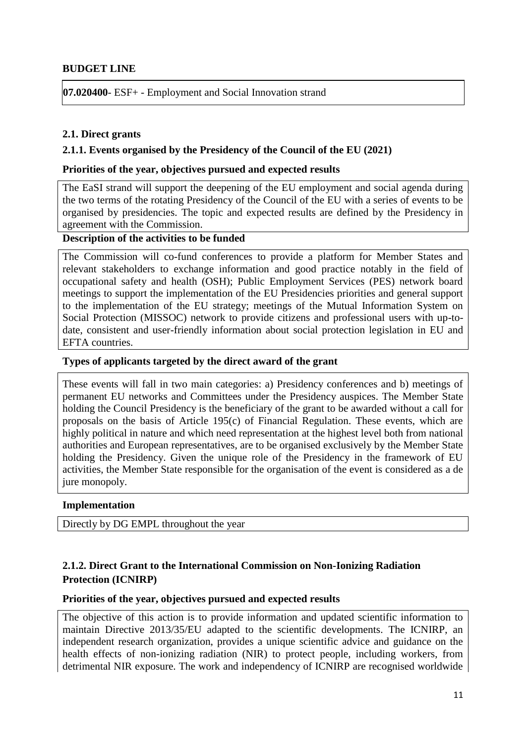## **BUDGET LINE**

**07.020400**- ESF+ - Employment and Social Innovation strand

### <span id="page-10-0"></span>**2.1. Direct grants**

### <span id="page-10-1"></span>**2.1.1. Events organised by the Presidency of the Council of the EU (2021)**

### **Priorities of the year, objectives pursued and expected results**

The EaSI strand will support the deepening of the EU employment and social agenda during the two terms of the rotating Presidency of the Council of the EU with a series of events to be organised by presidencies. The topic and expected results are defined by the Presidency in agreement with the Commission.

# **Description of the activities to be funded**

The Commission will co-fund conferences to provide a platform for Member States and relevant stakeholders to exchange information and good practice notably in the field of occupational safety and health (OSH); Public Employment Services (PES) network board meetings to support the implementation of the EU Presidencies priorities and general support to the implementation of the EU strategy; meetings of the Mutual Information System on Social Protection (MISSOC) network to provide citizens and professional users with up-todate, consistent and user-friendly information about social protection legislation in EU and EFTA countries.

#### **Types of applicants targeted by the direct award of the grant**

These events will fall in two main categories: a) Presidency conferences and b) meetings of permanent EU networks and Committees under the Presidency auspices. The Member State holding the Council Presidency is the beneficiary of the grant to be awarded without a call for proposals on the basis of Article 195(c) of Financial Regulation. These events, which are highly political in nature and which need representation at the highest level both from national authorities and European representatives, are to be organised exclusively by the Member State holding the Presidency. Given the unique role of the Presidency in the framework of EU activities, the Member State responsible for the organisation of the event is considered as a de jure monopoly.

#### **Implementation**

Directly by DG EMPL throughout the year

# <span id="page-10-2"></span>**2.1.2. Direct Grant to the International Commission on Non-Ionizing Radiation Protection (ICNIRP)**

### **Priorities of the year, objectives pursued and expected results**

The objective of this action is to provide information and updated scientific information to maintain Directive 2013/35/EU adapted to the scientific developments. The ICNIRP, an independent research organization, provides a unique scientific advice and guidance on the health effects of non-ionizing radiation (NIR) to protect people, including workers, from detrimental NIR exposure. The work and independency of ICNIRP are recognised worldwide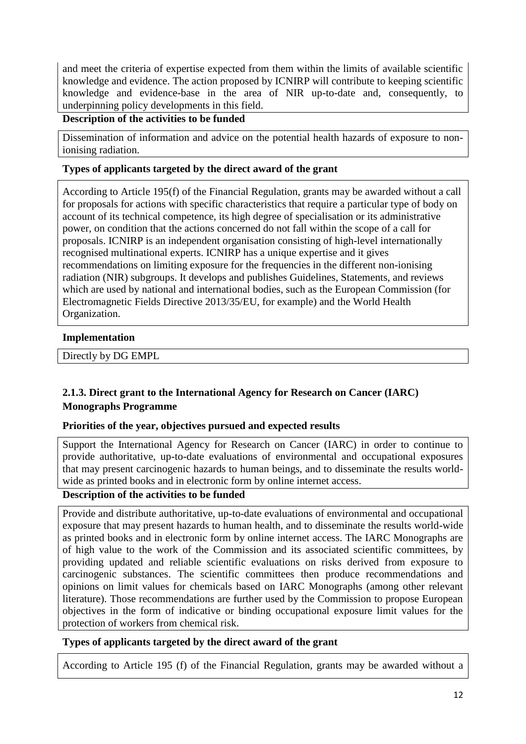and meet the criteria of expertise expected from them within the limits of available scientific knowledge and evidence. The action proposed by ICNIRP will contribute to keeping scientific knowledge and evidence-base in the area of NIR up-to-date and, consequently, to underpinning policy developments in this field.

# **Description of the activities to be funded**

Dissemination of information and advice on the potential health hazards of exposure to nonionising radiation.

# **Types of applicants targeted by the direct award of the grant**

According to Article 195(f) of the Financial Regulation, grants may be awarded without a call for proposals for actions with specific characteristics that require a particular type of body on account of its technical competence, its high degree of specialisation or its administrative power, on condition that the actions concerned do not fall within the scope of a call for proposals. ICNIRP is an independent organisation consisting of high-level internationally recognised multinational experts. ICNIRP has a unique expertise and it gives recommendations on limiting exposure for the frequencies in the different non-ionising radiation (NIR) subgroups. It develops and publishes Guidelines, Statements, and reviews which are used by national and international bodies, such as the European Commission (for Electromagnetic Fields Directive 2013/35/EU, for example) and the World Health Organization.

## **Implementation**

Directly by DG EMPL

# <span id="page-11-0"></span>**2.1.3. Direct grant to the International Agency for Research on Cancer (IARC) Monographs Programme**

# **Priorities of the year, objectives pursued and expected results**

Support the International Agency for Research on Cancer (IARC) in order to continue to provide authoritative, up-to-date evaluations of environmental and occupational exposures that may present carcinogenic hazards to human beings, and to disseminate the results worldwide as printed books and in electronic form by online internet access.

# **Description of the activities to be funded**

Provide and distribute authoritative, up-to-date evaluations of environmental and occupational exposure that may present hazards to human health, and to disseminate the results world-wide as printed books and in electronic form by online internet access. The IARC Monographs are of high value to the work of the Commission and its associated scientific committees, by providing updated and reliable scientific evaluations on risks derived from exposure to carcinogenic substances. The scientific committees then produce recommendations and opinions on limit values for chemicals based on IARC Monographs (among other relevant literature). Those recommendations are further used by the Commission to propose European objectives in the form of indicative or binding occupational exposure limit values for the protection of workers from chemical risk.

# **Types of applicants targeted by the direct award of the grant**

According to Article 195 (f) of the Financial Regulation, grants may be awarded without a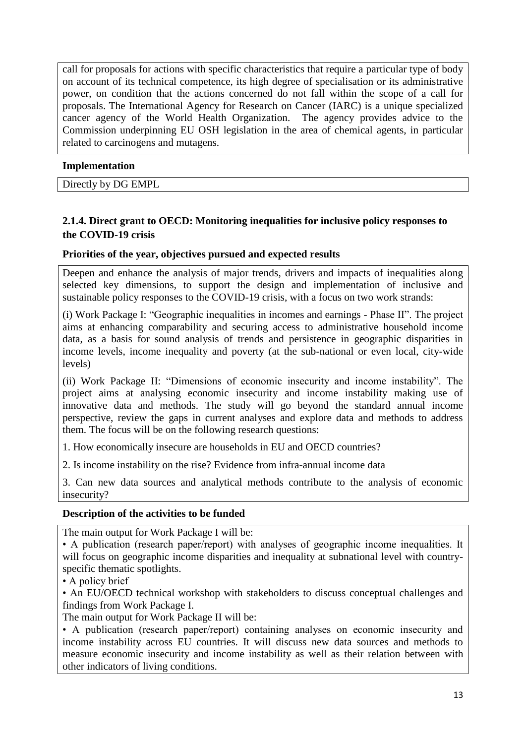call for proposals for actions with specific characteristics that require a particular type of body on account of its technical competence, its high degree of specialisation or its administrative power, on condition that the actions concerned do not fall within the scope of a call for proposals. The International Agency for Research on Cancer (IARC) is a unique specialized cancer agency of the World Health Organization. The agency provides advice to the Commission underpinning EU OSH legislation in the area of chemical agents, in particular related to carcinogens and mutagens.

# **Implementation**

Directly by DG EMPL

# <span id="page-12-0"></span>**2.1.4. Direct grant to OECD: Monitoring inequalities for inclusive policy responses to the COVID-19 crisis**

# **Priorities of the year, objectives pursued and expected results**

Deepen and enhance the analysis of major trends, drivers and impacts of inequalities along selected key dimensions, to support the design and implementation of inclusive and sustainable policy responses to the COVID-19 crisis, with a focus on two work strands:

(i) Work Package I: "Geographic inequalities in incomes and earnings - Phase II". The project aims at enhancing comparability and securing access to administrative household income data, as a basis for sound analysis of trends and persistence in geographic disparities in income levels, income inequality and poverty (at the sub-national or even local, city-wide levels)

(ii) Work Package II: "Dimensions of economic insecurity and income instability". The project aims at analysing economic insecurity and income instability making use of innovative data and methods. The study will go beyond the standard annual income perspective, review the gaps in current analyses and explore data and methods to address them. The focus will be on the following research questions:

1. How economically insecure are households in EU and OECD countries?

2. Is income instability on the rise? Evidence from infra-annual income data

3. Can new data sources and analytical methods contribute to the analysis of economic insecurity?

# **Description of the activities to be funded**

The main output for Work Package I will be:

• A publication (research paper/report) with analyses of geographic income inequalities. It will focus on geographic income disparities and inequality at subnational level with countryspecific thematic spotlights.

• A policy brief

• An EU/OECD technical workshop with stakeholders to discuss conceptual challenges and findings from Work Package I.

The main output for Work Package II will be:

• A publication (research paper/report) containing analyses on economic insecurity and income instability across EU countries. It will discuss new data sources and methods to measure economic insecurity and income instability as well as their relation between with other indicators of living conditions.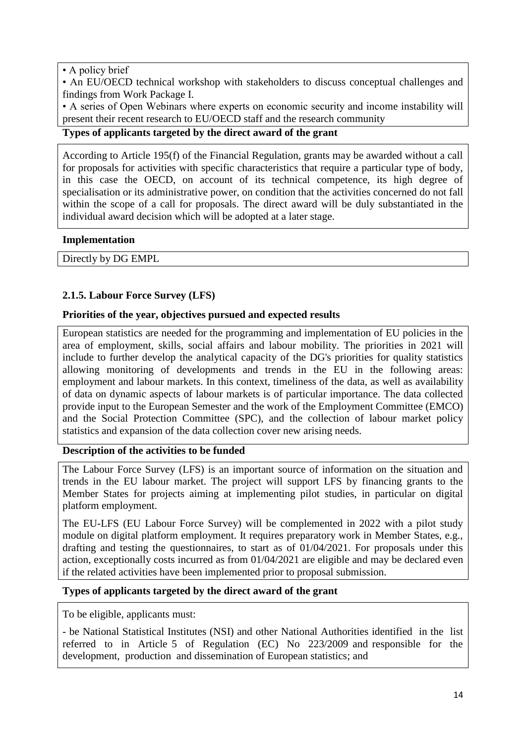## • A policy brief

• An EU/OECD technical workshop with stakeholders to discuss conceptual challenges and findings from Work Package I.

• A series of Open Webinars where experts on economic security and income instability will present their recent research to EU/OECD staff and the research community

# **Types of applicants targeted by the direct award of the grant**

According to Article 195(f) of the Financial Regulation, grants may be awarded without a call for proposals for activities with specific characteristics that require a particular type of body, in this case the OECD, on account of its technical competence, its high degree of specialisation or its administrative power, on condition that the activities concerned do not fall within the scope of a call for proposals. The direct award will be duly substantiated in the individual award decision which will be adopted at a later stage.

## **Implementation**

Directly by DG EMPL

# <span id="page-13-0"></span>**2.1.5. Labour Force Survey (LFS)**

## **Priorities of the year, objectives pursued and expected results**

European statistics are needed for the programming and implementation of EU policies in the area of employment, skills, social affairs and labour mobility. The priorities in 2021 will include to further develop the analytical capacity of the DG's priorities for quality statistics allowing monitoring of developments and trends in the EU in the following areas: employment and labour markets. In this context, timeliness of the data, as well as availability of data on dynamic aspects of labour markets is of particular importance. The data collected provide input to the European Semester and the work of the Employment Committee (EMCO) and the Social Protection Committee (SPC), and the collection of labour market policy statistics and expansion of the data collection cover new arising needs.

# **Description of the activities to be funded**

The Labour Force Survey (LFS) is an important source of information on the situation and trends in the EU labour market. The project will support LFS by financing grants to the Member States for projects aiming at implementing pilot studies, in particular on digital platform employment.

The EU-LFS (EU Labour Force Survey) will be complemented in 2022 with a pilot study module on digital platform employment. It requires preparatory work in Member States, e.g., drafting and testing the questionnaires, to start as of 01/04/2021. For proposals under this action, exceptionally costs incurred as from 01/04/2021 are eligible and may be declared even if the related activities have been implemented prior to proposal submission.

### **Types of applicants targeted by the direct award of the grant**

To be eligible, applicants must:

- be National Statistical Institutes (NSI) and other National Authorities identified in the list referred to in Article 5 of Regulation (EC) No 223/2009 and responsible for the development, production and dissemination of European statistics; and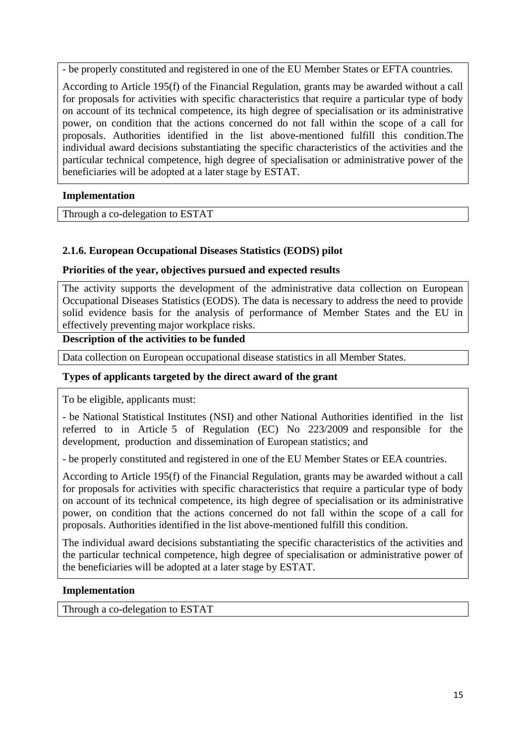- be properly constituted and registered in one of the EU Member States or EFTA countries.

According to Article 195(f) of the Financial Regulation, grants may be awarded without a call for proposals for activities with specific characteristics that require a particular type of body on account of its technical competence, its high degree of specialisation or its administrative power, on condition that the actions concerned do not fall within the scope of a call for proposals. Authorities identified in the list above-mentioned fulfill this condition.The individual award decisions substantiating the specific characteristics of the activities and the particular technical competence, high degree of specialisation or administrative power of the beneficiaries will be adopted at a later stage by ESTAT.

# **Implementation**

Through a co-delegation to ESTAT

# <span id="page-14-0"></span>**2.1.6. European Occupational Diseases Statistics (EODS) pilot**

# **Priorities of the year, objectives pursued and expected results**

The activity supports the development of the administrative data collection on European Occupational Diseases Statistics (EODS). The data is necessary to address the need to provide solid evidence basis for the analysis of performance of Member States and the EU in effectively preventing major workplace risks.

## **Description of the activities to be funded**

Data collection on European occupational disease statistics in all Member States.

# **Types of applicants targeted by the direct award of the grant**

To be eligible, applicants must:

- be National Statistical Institutes (NSI) and other National Authorities identified in the list referred to in Article 5 of Regulation (EC) No 223/2009 and responsible for the development, production and dissemination of European statistics; and

- be properly constituted and registered in one of the EU Member States or EEA countries.

According to Article 195(f) of the Financial Regulation, grants may be awarded without a call for proposals for activities with specific characteristics that require a particular type of body on account of its technical competence, its high degree of specialisation or its administrative power, on condition that the actions concerned do not fall within the scope of a call for proposals. Authorities identified in the list above-mentioned fulfill this condition.

The individual award decisions substantiating the specific characteristics of the activities and the particular technical competence, high degree of specialisation or administrative power of the beneficiaries will be adopted at a later stage by ESTAT.

# **Implementation**

Through a co-delegation to ESTAT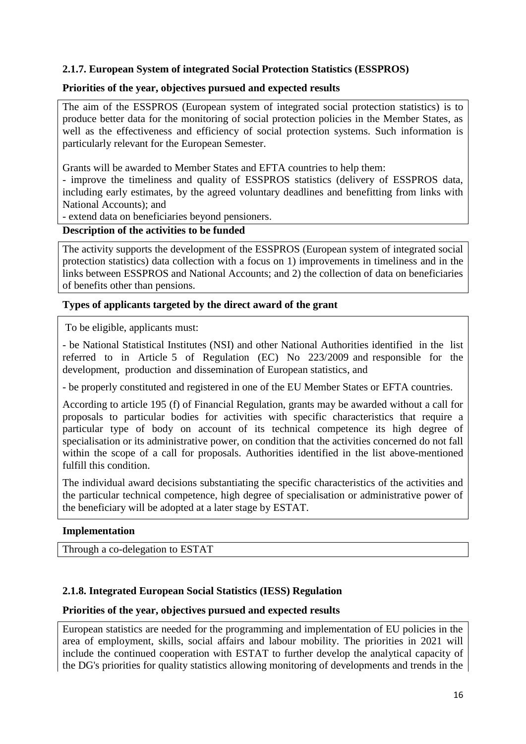# <span id="page-15-0"></span>**2.1.7. European System of integrated Social Protection Statistics (ESSPROS)**

## **Priorities of the year, objectives pursued and expected results**

The aim of the ESSPROS (European system of integrated social protection statistics) is to produce better data for the monitoring of social protection policies in the Member States, as well as the effectiveness and efficiency of social protection systems. Such information is particularly relevant for the European Semester.

Grants will be awarded to Member States and EFTA countries to help them:

- improve the timeliness and quality of ESSPROS statistics (delivery of ESSPROS data, including early estimates, by the agreed voluntary deadlines and benefitting from links with National Accounts); and

- extend data on beneficiaries beyond pensioners.

### **Description of the activities to be funded**

The activity supports the development of the ESSPROS (European system of integrated social protection statistics) data collection with a focus on 1) improvements in timeliness and in the links between ESSPROS and National Accounts; and 2) the collection of data on beneficiaries of benefits other than pensions.

## **Types of applicants targeted by the direct award of the grant**

To be eligible, applicants must:

- be National Statistical Institutes (NSI) and other National Authorities identified in the list referred to in Article 5 of Regulation (EC) No 223/2009 and responsible for the development, production and dissemination of European statistics, and

- be properly constituted and registered in one of the EU Member States or EFTA countries.

According to article 195 (f) of Financial Regulation, grants may be awarded without a call for proposals to particular bodies for activities with specific characteristics that require a particular type of body on account of its technical competence its high degree of specialisation or its administrative power, on condition that the activities concerned do not fall within the scope of a call for proposals. Authorities identified in the list above-mentioned fulfill this condition.

The individual award decisions substantiating the specific characteristics of the activities and the particular technical competence, high degree of specialisation or administrative power of the beneficiary will be adopted at a later stage by ESTAT.

# **Implementation**

Through a co-delegation to ESTAT

# <span id="page-15-1"></span>**2.1.8. Integrated European Social Statistics (IESS) Regulation**

### **Priorities of the year, objectives pursued and expected results**

European statistics are needed for the programming and implementation of EU policies in the area of employment, skills, social affairs and labour mobility. The priorities in 2021 will include the continued cooperation with ESTAT to further develop the analytical capacity of the DG's priorities for quality statistics allowing monitoring of developments and trends in the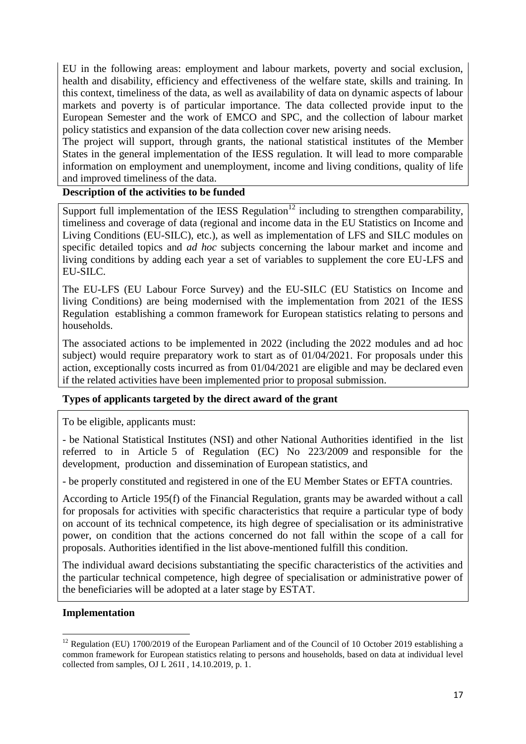EU in the following areas: employment and labour markets, poverty and social exclusion, health and disability, efficiency and effectiveness of the welfare state, skills and training. In this context, timeliness of the data, as well as availability of data on dynamic aspects of labour markets and poverty is of particular importance. The data collected provide input to the European Semester and the work of EMCO and SPC, and the collection of labour market policy statistics and expansion of the data collection cover new arising needs.

The project will support, through grants, the national statistical institutes of the Member States in the general implementation of the IESS regulation. It will lead to more comparable information on employment and unemployment, income and living conditions, quality of life and improved timeliness of the data.

# **Description of the activities to be funded**

Support full implementation of the IESS Regulation<sup>12</sup> including to strengthen comparability, timeliness and coverage of data (regional and income data in the EU Statistics on Income and Living Conditions (EU-SILC), etc.), as well as implementation of LFS and SILC modules on specific detailed topics and *ad hoc* subjects concerning the labour market and income and living conditions by adding each year a set of variables to supplement the core EU-LFS and EU-SILC.

The EU-LFS (EU Labour Force Survey) and the EU-SILC (EU Statistics on Income and living Conditions) are being modernised with the implementation from 2021 of the IESS Regulation establishing a common framework for European statistics relating to persons and households.

The associated actions to be implemented in 2022 (including the 2022 modules and ad hoc subject) would require preparatory work to start as of 01/04/2021. For proposals under this action, exceptionally costs incurred as from 01/04/2021 are eligible and may be declared even if the related activities have been implemented prior to proposal submission.

# **Types of applicants targeted by the direct award of the grant**

To be eligible, applicants must:

- be National Statistical Institutes (NSI) and other National Authorities identified in the list referred to in Article 5 of Regulation (EC) No 223/2009 and responsible for the development, production and dissemination of European statistics, and

- be properly constituted and registered in one of the EU Member States or EFTA countries.

According to Article 195(f) of the Financial Regulation, grants may be awarded without a call for proposals for activities with specific characteristics that require a particular type of body on account of its technical competence, its high degree of specialisation or its administrative power, on condition that the actions concerned do not fall within the scope of a call for proposals. Authorities identified in the list above-mentioned fulfill this condition.

The individual award decisions substantiating the specific characteristics of the activities and the particular technical competence, high degree of specialisation or administrative power of the beneficiaries will be adopted at a later stage by ESTAT.

# **Implementation**

 $\overline{a}$ 

<sup>&</sup>lt;sup>12</sup> Regulation (EU) 1700/2019 of the European Parliament and of the Council of 10 October 2019 establishing a common framework for European statistics relating to persons and households, based on data at individual level collected from samples, OJ L 261I , 14.10.2019, p. 1.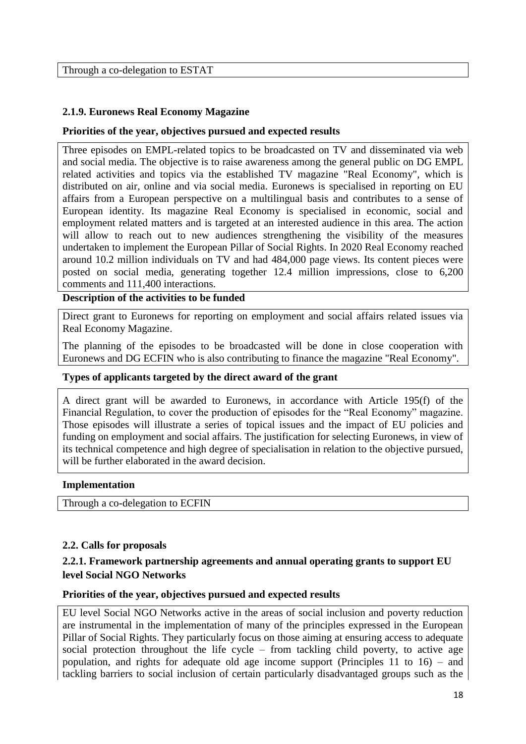Through a co-delegation to ESTAT

# <span id="page-17-0"></span>**2.1.9. Euronews Real Economy Magazine**

## **Priorities of the year, objectives pursued and expected results**

Three episodes on EMPL-related topics to be broadcasted on TV and disseminated via web and social media. The objective is to raise awareness among the general public on DG EMPL related activities and topics via the established TV magazine "Real Economy", which is distributed on air, online and via social media. Euronews is specialised in reporting on EU affairs from a European perspective on a multilingual basis and contributes to a sense of European identity. Its magazine Real Economy is specialised in economic, social and employment related matters and is targeted at an interested audience in this area. The action will allow to reach out to new audiences strengthening the visibility of the measures undertaken to implement the European Pillar of Social Rights. In 2020 Real Economy reached around 10.2 million individuals on TV and had 484,000 page views. Its content pieces were posted on social media, generating together 12.4 million impressions, close to 6,200 comments and 111,400 interactions.

**Description of the activities to be funded** 

Direct grant to Euronews for reporting on employment and social affairs related issues via Real Economy Magazine.

The planning of the episodes to be broadcasted will be done in close cooperation with Euronews and DG ECFIN who is also contributing to finance the magazine "Real Economy".

### **Types of applicants targeted by the direct award of the grant**

A direct grant will be awarded to Euronews, in accordance with Article 195(f) of the Financial Regulation, to cover the production of episodes for the "Real Economy" magazine. Those episodes will illustrate a series of topical issues and the impact of EU policies and funding on employment and social affairs. The justification for selecting Euronews, in view of its technical competence and high degree of specialisation in relation to the objective pursued, will be further elaborated in the award decision.

### **Implementation**

<span id="page-17-1"></span>Through a co-delegation to ECFIN

### **2.2. Calls for proposals**

# <span id="page-17-2"></span>**2.2.1. Framework partnership agreements and annual operating grants to support EU level Social NGO Networks**

### **Priorities of the year, objectives pursued and expected results**

EU level Social NGO Networks active in the areas of social inclusion and poverty reduction are instrumental in the implementation of many of the principles expressed in the European Pillar of Social Rights. They particularly focus on those aiming at ensuring access to adequate social protection throughout the life cycle – from tackling child poverty, to active age population, and rights for adequate old age income support (Principles 11 to 16) – and tackling barriers to social inclusion of certain particularly disadvantaged groups such as the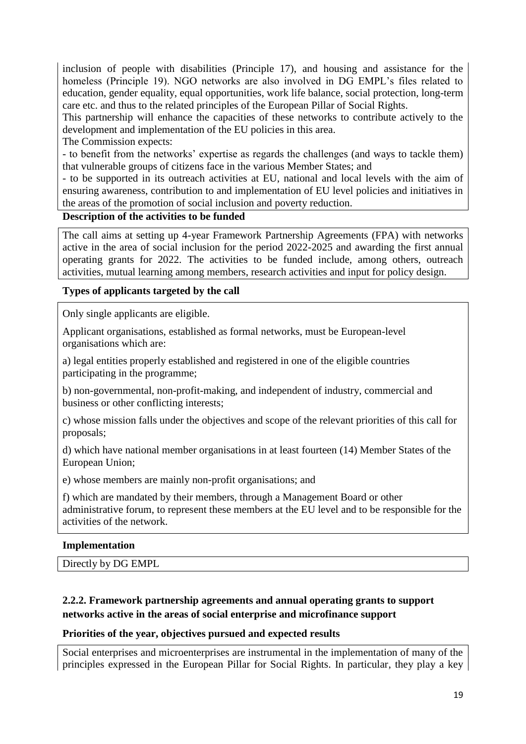inclusion of people with disabilities (Principle 17), and housing and assistance for the homeless (Principle 19). NGO networks are also involved in DG EMPL's files related to education, gender equality, equal opportunities, work life balance, social protection, long-term care etc. and thus to the related principles of the European Pillar of Social Rights.

This partnership will enhance the capacities of these networks to contribute actively to the development and implementation of the EU policies in this area.

The Commission expects:

- to benefit from the networks' expertise as regards the challenges (and ways to tackle them) that vulnerable groups of citizens face in the various Member States; and

- to be supported in its outreach activities at EU, national and local levels with the aim of ensuring awareness, contribution to and implementation of EU level policies and initiatives in the areas of the promotion of social inclusion and poverty reduction.

# **Description of the activities to be funded**

The call aims at setting up 4-year Framework Partnership Agreements (FPA) with networks active in the area of social inclusion for the period 2022-2025 and awarding the first annual operating grants for 2022. The activities to be funded include, among others, outreach activities, mutual learning among members, research activities and input for policy design.

# **Types of applicants targeted by the call**

Only single applicants are eligible.

Applicant organisations, established as formal networks, must be European-level organisations which are:

a) legal entities properly established and registered in one of the eligible countries participating in the programme;

b) non-governmental, non-profit-making, and independent of industry, commercial and business or other conflicting interests;

c) whose mission falls under the objectives and scope of the relevant priorities of this call for proposals;

d) which have national member organisations in at least fourteen (14) Member States of the European Union;

e) whose members are mainly non-profit organisations; and

f) which are mandated by their members, through a Management Board or other administrative forum, to represent these members at the EU level and to be responsible for the activities of the network.

### **Implementation**

Directly by DG EMPL

# <span id="page-18-0"></span>**2.2.2. Framework partnership agreements and annual operating grants to support networks active in the areas of social enterprise and microfinance support**

### **Priorities of the year, objectives pursued and expected results**

Social enterprises and microenterprises are instrumental in the implementation of many of the principles expressed in the European Pillar for Social Rights. In particular, they play a key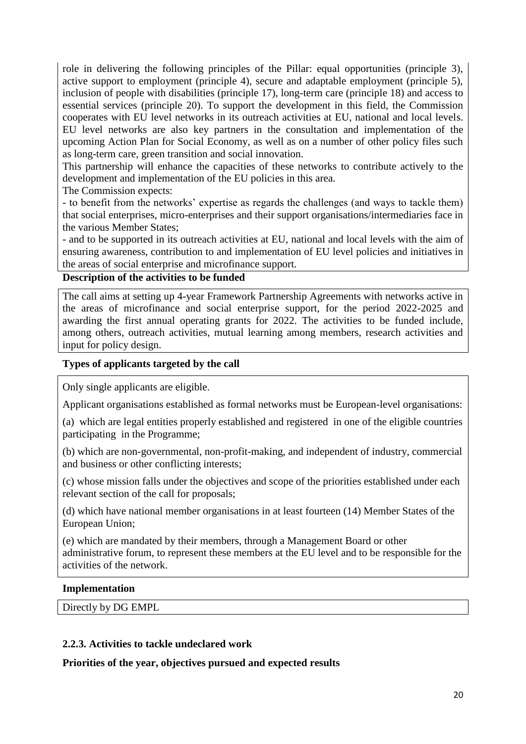role in delivering the following principles of the Pillar: equal opportunities (principle 3), active support to employment (principle 4), secure and adaptable employment (principle 5), inclusion of people with disabilities (principle 17), long-term care (principle 18) and access to essential services (principle 20). To support the development in this field, the Commission cooperates with EU level networks in its outreach activities at EU, national and local levels. EU level networks are also key partners in the consultation and implementation of the upcoming Action Plan for Social Economy, as well as on a number of other policy files such as long-term care, green transition and social innovation.

This partnership will enhance the capacities of these networks to contribute actively to the development and implementation of the EU policies in this area.

The Commission expects:

- to benefit from the networks' expertise as regards the challenges (and ways to tackle them) that social enterprises, micro-enterprises and their support organisations/intermediaries face in the various Member States;

- and to be supported in its outreach activities at EU, national and local levels with the aim of ensuring awareness, contribution to and implementation of EU level policies and initiatives in the areas of social enterprise and microfinance support.

# **Description of the activities to be funded**

The call aims at setting up 4-year Framework Partnership Agreements with networks active in the areas of microfinance and social enterprise support, for the period 2022-2025 and awarding the first annual operating grants for 2022. The activities to be funded include, among others, outreach activities, mutual learning among members, research activities and input for policy design.

## **Types of applicants targeted by the call**

Only single applicants are eligible.

Applicant organisations established as formal networks must be European-level organisations:

(a) which are legal entities properly established and registered in one of the eligible countries participating in the Programme;

(b) which are non-governmental, non-profit-making, and independent of industry, commercial and business or other conflicting interests;

(c) whose mission falls under the objectives and scope of the priorities established under each relevant section of the call for proposals;

(d) which have national member organisations in at least fourteen (14) Member States of the European Union;

(e) which are mandated by their members, through a Management Board or other administrative forum, to represent these members at the EU level and to be responsible for the activities of the network.

### **Implementation**

Directly by DG EMPL

### <span id="page-19-0"></span>**2.2.3. Activities to tackle undeclared work**

**Priorities of the year, objectives pursued and expected results**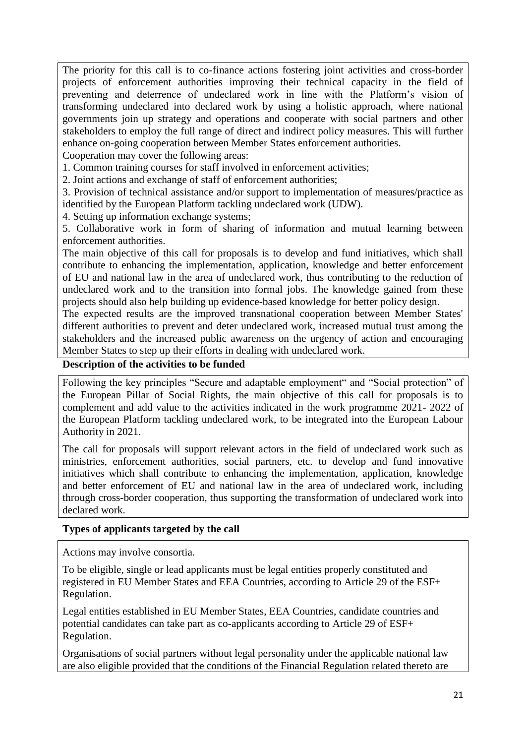The priority for this call is to co-finance actions fostering joint activities and cross-border projects of enforcement authorities improving their technical capacity in the field of preventing and deterrence of undeclared work in line with the Platform's vision of transforming undeclared into declared work by using a holistic approach, where national governments join up strategy and operations and cooperate with social partners and other stakeholders to employ the full range of direct and indirect policy measures. This will further enhance on-going cooperation between Member States enforcement authorities.

Cooperation may cover the following areas:

1. Common training courses for staff involved in enforcement activities;

2. Joint actions and exchange of staff of enforcement authorities;

3. Provision of technical assistance and/or support to implementation of measures/practice as identified by the European Platform tackling undeclared work (UDW).

4. Setting up information exchange systems;

5. Collaborative work in form of sharing of information and mutual learning between enforcement authorities.

The main objective of this call for proposals is to develop and fund initiatives, which shall contribute to enhancing the implementation, application, knowledge and better enforcement of EU and national law in the area of undeclared work, thus contributing to the reduction of undeclared work and to the transition into formal jobs. The knowledge gained from these projects should also help building up evidence-based knowledge for better policy design.

The expected results are the improved transnational cooperation between Member States' different authorities to prevent and deter undeclared work, increased mutual trust among the stakeholders and the increased public awareness on the urgency of action and encouraging Member States to step up their efforts in dealing with undeclared work.

# **Description of the activities to be funded**

Following the key principles "Secure and adaptable employment" and "Social protection" of the European Pillar of Social Rights, the main objective of this call for proposals is to complement and add value to the activities indicated in the work programme 2021- 2022 of the European Platform tackling undeclared work, to be integrated into the European Labour Authority in 2021.

The call for proposals will support relevant actors in the field of undeclared work such as ministries, enforcement authorities, social partners, etc. to develop and fund innovative initiatives which shall contribute to enhancing the implementation, application, knowledge and better enforcement of EU and national law in the area of undeclared work, including through cross-border cooperation, thus supporting the transformation of undeclared work into declared work.

# **Types of applicants targeted by the call**

Actions may involve consortia.

To be eligible, single or lead applicants must be legal entities properly constituted and registered in EU Member States and EEA Countries, according to Article 29 of the ESF+ Regulation.

Legal entities established in EU Member States, EEA Countries, candidate countries and potential candidates can take part as co-applicants according to Article 29 of ESF+ Regulation.

Organisations of social partners without legal personality under the applicable national law are also eligible provided that the conditions of the Financial Regulation related thereto are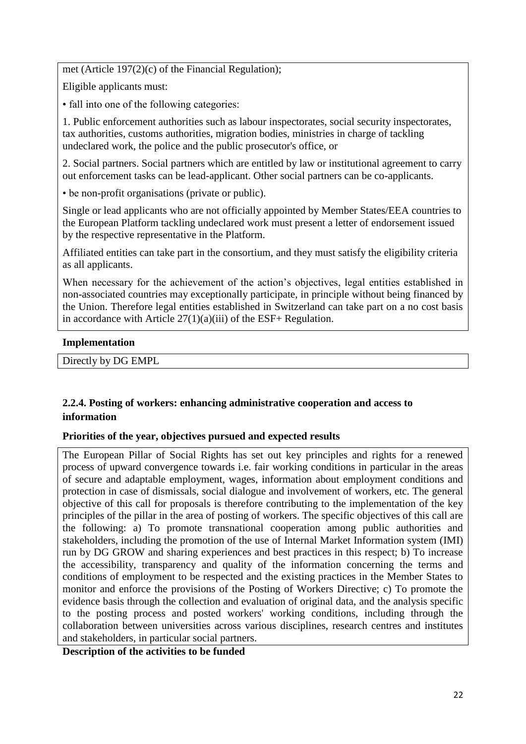met (Article 197(2)(c) of the Financial Regulation);

Eligible applicants must:

• fall into one of the following categories:

1. Public enforcement authorities such as labour inspectorates, social security inspectorates, tax authorities, customs authorities, migration bodies, ministries in charge of tackling undeclared work, the police and the public prosecutor's office, or

2. Social partners. Social partners which are entitled by law or institutional agreement to carry out enforcement tasks can be lead-applicant. Other social partners can be co-applicants.

• be non-profit organisations (private or public).

Single or lead applicants who are not officially appointed by Member States/EEA countries to the European Platform tackling undeclared work must present a letter of endorsement issued by the respective representative in the Platform.

Affiliated entities can take part in the consortium, and they must satisfy the eligibility criteria as all applicants.

When necessary for the achievement of the action's objectives, legal entities established in non-associated countries may exceptionally participate, in principle without being financed by the Union. Therefore legal entities established in Switzerland can take part on a no cost basis in accordance with Article  $27(1)(a)(iii)$  of the ESF+ Regulation.

# **Implementation**

Directly by DG EMPL

# <span id="page-21-0"></span>**2.2.4. Posting of workers: enhancing administrative cooperation and access to information**

# **Priorities of the year, objectives pursued and expected results**

The European Pillar of Social Rights has set out key principles and rights for a renewed process of upward convergence towards i.e. fair working conditions in particular in the areas of secure and adaptable employment, wages, information about employment conditions and protection in case of dismissals, social dialogue and involvement of workers, etc. The general objective of this call for proposals is therefore contributing to the implementation of the key principles of the pillar in the area of posting of workers. The specific objectives of this call are the following: a) To promote transnational cooperation among public authorities and stakeholders, including the promotion of the use of Internal Market Information system (IMI) run by DG GROW and sharing experiences and best practices in this respect; b) To increase the accessibility, transparency and quality of the information concerning the terms and conditions of employment to be respected and the existing practices in the Member States to monitor and enforce the provisions of the Posting of Workers Directive; c) To promote the evidence basis through the collection and evaluation of original data, and the analysis specific to the posting process and posted workers' working conditions, including through the collaboration between universities across various disciplines, research centres and institutes and stakeholders, in particular social partners.

**Description of the activities to be funded**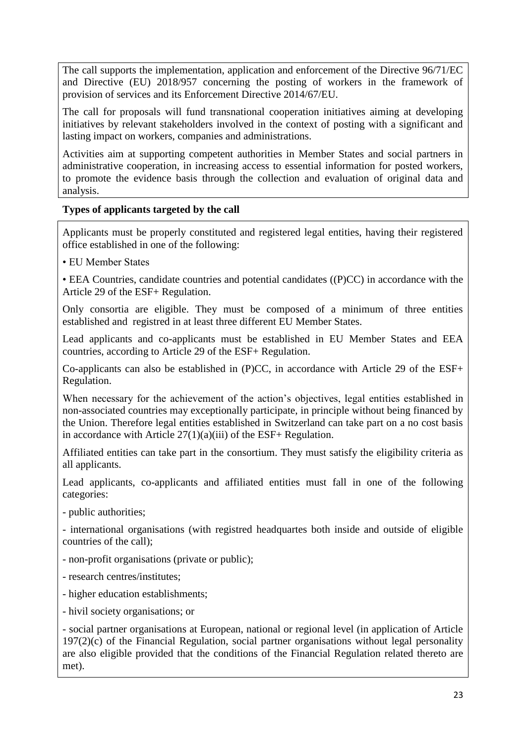The call supports the implementation, application and enforcement of the Directive 96/71/EC and Directive (EU) 2018/957 concerning the posting of workers in the framework of provision of services and its Enforcement Directive 2014/67/EU.

The call for proposals will fund transnational cooperation initiatives aiming at developing initiatives by relevant stakeholders involved in the context of posting with a significant and lasting impact on workers, companies and administrations.

Activities aim at supporting competent authorities in Member States and social partners in administrative cooperation, in increasing access to essential information for posted workers, to promote the evidence basis through the collection and evaluation of original data and analysis.

# **Types of applicants targeted by the call**

Applicants must be properly constituted and registered legal entities, having their registered office established in one of the following:

- EU Member States
- EEA Countries, candidate countries and potential candidates ((P)CC) in accordance with the Article 29 of the ESF+ Regulation.

Only consortia are eligible. They must be composed of a minimum of three entities established and registred in at least three different EU Member States.

Lead applicants and co-applicants must be established in EU Member States and EEA countries, according to Article 29 of the ESF+ Regulation.

Co-applicants can also be established in (P)CC, in accordance with Article 29 of the ESF+ Regulation.

When necessary for the achievement of the action's objectives, legal entities established in non-associated countries may exceptionally participate, in principle without being financed by the Union. Therefore legal entities established in Switzerland can take part on a no cost basis in accordance with Article 27(1)(a)(iii) of the ESF+ Regulation.

Affiliated entities can take part in the consortium. They must satisfy the eligibility criteria as all applicants.

Lead applicants, co-applicants and affiliated entities must fall in one of the following categories:

- public authorities;

- international organisations (with registred headquartes both inside and outside of eligible countries of the call);

- non-profit organisations (private or public);
- research centres/institutes;
- higher education establishments;
- hivil society organisations; or

- social partner organisations at European, national or regional level (in application of Article 197(2)(c) of the Financial Regulation, social partner organisations without legal personality are also eligible provided that the conditions of the Financial Regulation related thereto are met).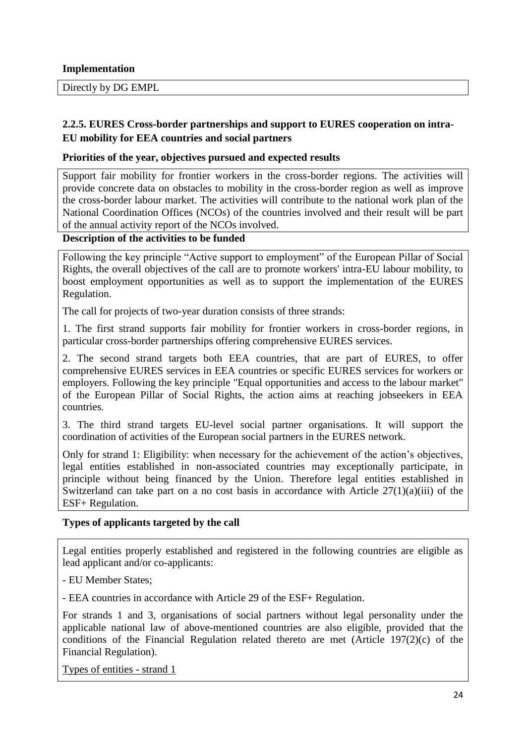## **Implementation**

Directly by DG EMPL

# <span id="page-23-0"></span>**2.2.5. EURES Cross-border partnerships and support to EURES cooperation on intra-EU mobility for EEA countries and social partners**

## **Priorities of the year, objectives pursued and expected results**

Support fair mobility for frontier workers in the cross-border regions. The activities will provide concrete data on obstacles to mobility in the cross-border region as well as improve the cross-border labour market. The activities will contribute to the national work plan of the National Coordination Offices (NCOs) of the countries involved and their result will be part of the annual activity report of the NCOs involved.

# **Description of the activities to be funded**

Following the key principle "Active support to employment" of the European Pillar of Social Rights, the overall objectives of the call are to promote workers' intra-EU labour mobility, to boost employment opportunities as well as to support the implementation of the EURES Regulation.

The call for projects of two-year duration consists of three strands:

1. The first strand supports fair mobility for frontier workers in cross-border regions, in particular cross-border partnerships offering comprehensive EURES services.

2. The second strand targets both EEA countries, that are part of EURES, to offer comprehensive EURES services in EEA countries or specific EURES services for workers or employers. Following the key principle "Equal opportunities and access to the labour market" of the European Pillar of Social Rights, the action aims at reaching jobseekers in EEA countries.

3. The third strand targets EU-level social partner organisations. It will support the coordination of activities of the European social partners in the EURES network.

Only for strand 1: Eligibility: when necessary for the achievement of the action's objectives, legal entities established in non-associated countries may exceptionally participate, in principle without being financed by the Union. Therefore legal entities established in Switzerland can take part on a no cost basis in accordance with Article 27(1)(a)(iii) of the ESF+ Regulation.

# **Types of applicants targeted by the call**

Legal entities properly established and registered in the following countries are eligible as lead applicant and/or co-applicants:

- EU Member States;

- EEA countries in accordance with Article 29 of the ESF+ Regulation.

For strands 1 and 3, organisations of social partners without legal personality under the applicable national law of above-mentioned countries are also eligible, provided that the conditions of the Financial Regulation related thereto are met (Article 197(2)(c) of the Financial Regulation).

Types of entities - strand 1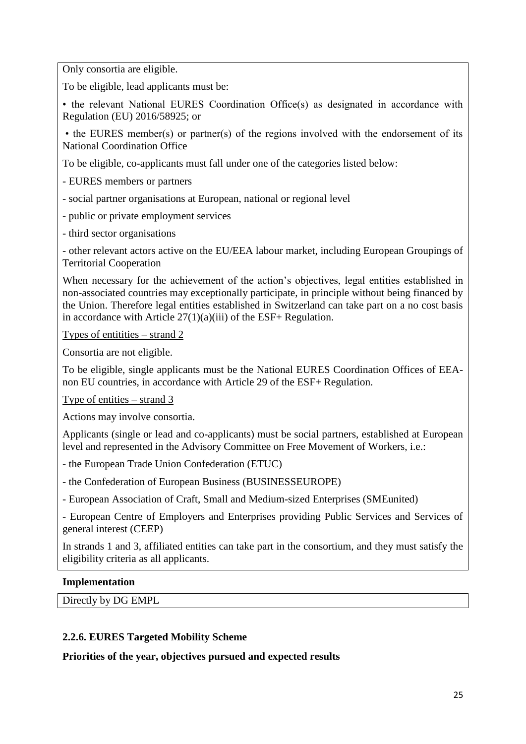Only consortia are eligible.

To be eligible, lead applicants must be:

• the relevant National EURES Coordination Office(s) as designated in accordance with Regulation (EU) 2016/58925; or

• the EURES member(s) or partner(s) of the regions involved with the endorsement of its National Coordination Office

To be eligible, co-applicants must fall under one of the categories listed below:

- EURES members or partners

- social partner organisations at European, national or regional level

- public or private employment services

- third sector organisations

- other relevant actors active on the EU/EEA labour market, including European Groupings of Territorial Cooperation

When necessary for the achievement of the action's objectives, legal entities established in non-associated countries may exceptionally participate, in principle without being financed by the Union. Therefore legal entities established in Switzerland can take part on a no cost basis in accordance with Article 27(1)(a)(iii) of the ESF+ Regulation.

Types of entitities – strand 2

Consortia are not eligible.

To be eligible, single applicants must be the National EURES Coordination Offices of EEAnon EU countries, in accordance with Article 29 of the ESF+ Regulation.

Type of entities – strand 3

Actions may involve consortia.

Applicants (single or lead and co-applicants) must be social partners, established at European level and represented in the Advisory Committee on Free Movement of Workers, i.e.:

- the European Trade Union Confederation (ETUC)

- the Confederation of European Business (BUSINESSEUROPE)

- European Association of Craft, Small and Medium-sized Enterprises (SMEunited)

- European Centre of Employers and Enterprises providing Public Services and Services of general interest (CEEP)

In strands 1 and 3, affiliated entities can take part in the consortium, and they must satisfy the eligibility criteria as all applicants.

### **Implementation**

Directly by DG EMPL

### <span id="page-24-0"></span>**2.2.6. EURES Targeted Mobility Scheme**

**Priorities of the year, objectives pursued and expected results**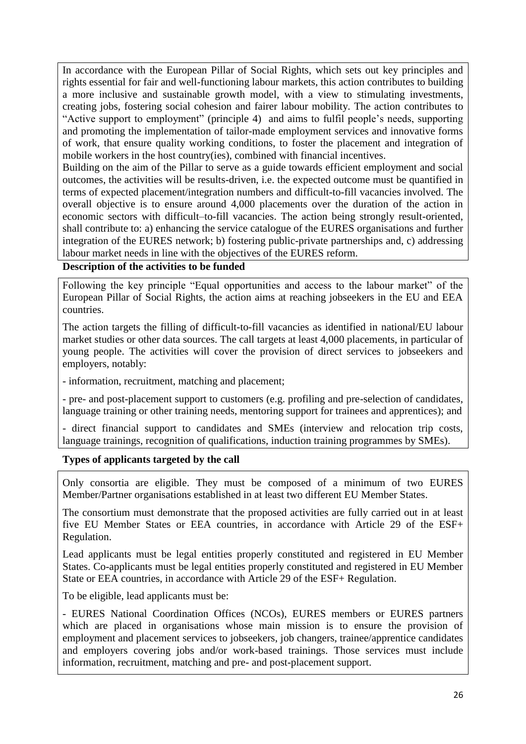In accordance with the European Pillar of Social Rights, which sets out key principles and rights essential for fair and well-functioning labour markets, this action contributes to building a more inclusive and sustainable growth model, with a view to stimulating investments, creating jobs, fostering social cohesion and fairer labour mobility. The action contributes to "Active support to employment" (principle 4) and aims to fulfil people's needs, supporting and promoting the implementation of tailor-made employment services and innovative forms of work, that ensure quality working conditions, to foster the placement and integration of mobile workers in the host country(ies), combined with financial incentives.

Building on the aim of the Pillar to serve as a guide towards efficient employment and social outcomes, the activities will be results-driven, i.e. the expected outcome must be quantified in terms of expected placement/integration numbers and difficult-to-fill vacancies involved. The overall objective is to ensure around 4,000 placements over the duration of the action in economic sectors with difficult–to-fill vacancies. The action being strongly result-oriented, shall contribute to: a) enhancing the service catalogue of the EURES organisations and further integration of the EURES network; b) fostering public-private partnerships and, c) addressing labour market needs in line with the objectives of the EURES reform.

**Description of the activities to be funded** 

Following the key principle "Equal opportunities and access to the labour market" of the European Pillar of Social Rights, the action aims at reaching jobseekers in the EU and EEA countries.

The action targets the filling of difficult-to-fill vacancies as identified in national/EU labour market studies or other data sources. The call targets at least 4,000 placements, in particular of young people. The activities will cover the provision of direct services to jobseekers and employers, notably:

- information, recruitment, matching and placement;

- pre- and post-placement support to customers (e.g. profiling and pre-selection of candidates, language training or other training needs, mentoring support for trainees and apprentices); and

- direct financial support to candidates and SMEs (interview and relocation trip costs, language trainings, recognition of qualifications, induction training programmes by SMEs).

# **Types of applicants targeted by the call**

Only consortia are eligible. They must be composed of a minimum of two EURES Member/Partner organisations established in at least two different EU Member States.

The consortium must demonstrate that the proposed activities are fully carried out in at least five EU Member States or EEA countries, in accordance with Article 29 of the ESF+ Regulation.

Lead applicants must be legal entities properly constituted and registered in EU Member States. Co-applicants must be legal entities properly constituted and registered in EU Member State or EEA countries, in accordance with Article 29 of the ESF+ Regulation.

To be eligible, lead applicants must be:

- EURES National Coordination Offices (NCOs), EURES members or EURES partners which are placed in organisations whose main mission is to ensure the provision of employment and placement services to jobseekers, job changers, trainee/apprentice candidates and employers covering jobs and/or work-based trainings. Those services must include information, recruitment, matching and pre- and post-placement support.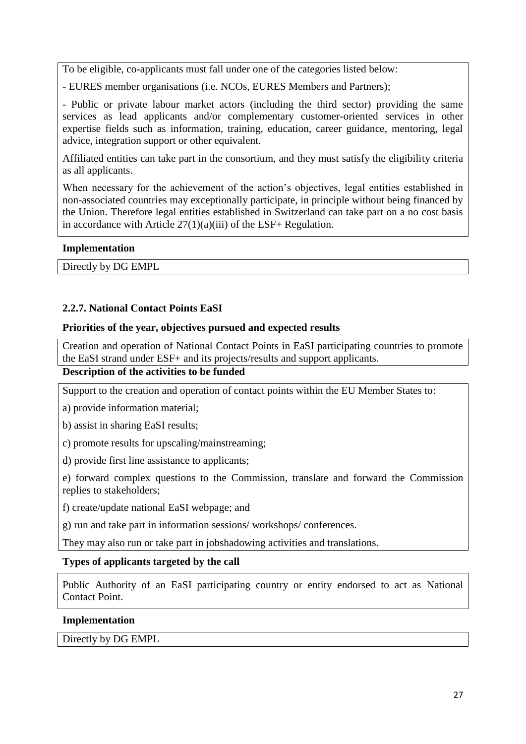To be eligible, co-applicants must fall under one of the categories listed below:

- EURES member organisations (i.e. NCOs, EURES Members and Partners);

- Public or private labour market actors (including the third sector) providing the same services as lead applicants and/or complementary customer-oriented services in other expertise fields such as information, training, education, career guidance, mentoring, legal advice, integration support or other equivalent.

Affiliated entities can take part in the consortium, and they must satisfy the eligibility criteria as all applicants.

When necessary for the achievement of the action's objectives, legal entities established in non-associated countries may exceptionally participate, in principle without being financed by the Union. Therefore legal entities established in Switzerland can take part on a no cost basis in accordance with Article  $27(1)(a)(iii)$  of the ESF+ Regulation.

### **Implementation**

Directly by DG EMPL

## <span id="page-26-0"></span>**2.2.7. National Contact Points EaSI**

### **Priorities of the year, objectives pursued and expected results**

Creation and operation of National Contact Points in EaSI participating countries to promote the EaSI strand under ESF+ and its projects/results and support applicants.

# **Description of the activities to be funded**

Support to the creation and operation of contact points within the EU Member States to:

a) provide information material;

b) assist in sharing EaSI results;

c) promote results for upscaling/mainstreaming;

d) provide first line assistance to applicants;

e) forward complex questions to the Commission, translate and forward the Commission replies to stakeholders;

f) create/update national EaSI webpage; and

g) run and take part in information sessions/ workshops/ conferences.

They may also run or take part in jobshadowing activities and translations.

### **Types of applicants targeted by the call**

Public Authority of an EaSI participating country or entity endorsed to act as National Contact Point.

#### **Implementation**

Directly by DG EMPL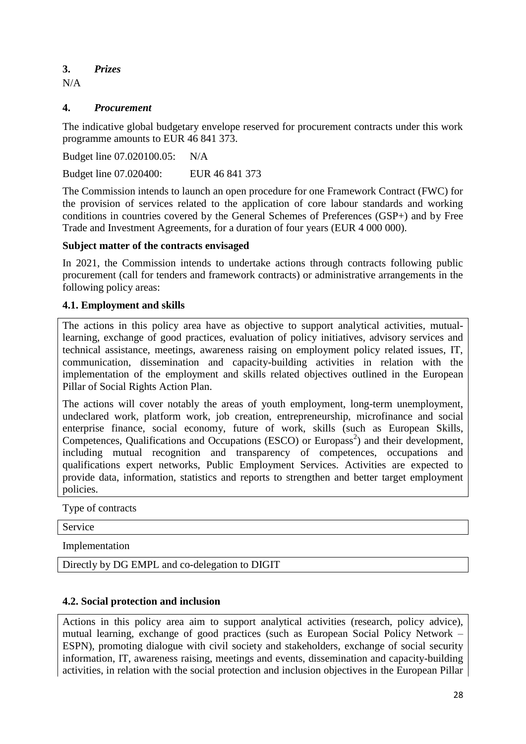<span id="page-27-0"></span>**3.** *Prizes* 

 $N/A$ 

# <span id="page-27-1"></span>**4.** *Procurement*

The indicative global budgetary envelope reserved for procurement contracts under this work programme amounts to EUR 46 841 373.

Budget line 07.020100.05: N/A

Budget line 07.020400: EUR 46 841 373

The Commission intends to launch an open procedure for one Framework Contract (FWC) for the provision of services related to the application of core labour standards and working conditions in countries covered by the General Schemes of Preferences (GSP+) and by Free Trade and Investment Agreements, for a duration of four years (EUR 4 000 000).

# **Subject matter of the contracts envisaged**

In 2021, the Commission intends to undertake actions through contracts following public procurement (call for tenders and framework contracts) or administrative arrangements in the following policy areas:

# <span id="page-27-2"></span>**4.1. Employment and skills**

The actions in this policy area have as objective to support analytical activities, mutuallearning, exchange of good practices, evaluation of policy initiatives, advisory services and technical assistance, meetings, awareness raising on employment policy related issues, IT, communication, dissemination and capacity-building activities in relation with the implementation of the employment and skills related objectives outlined in the European Pillar of Social Rights Action Plan.

The actions will cover notably the areas of youth employment, long-term unemployment, undeclared work, platform work, job creation, entrepreneurship, microfinance and social enterprise finance, social economy, future of work, skills (such as European Skills, Competences, Qualifications and Occupations (ESCO) or Europass<sup>2</sup>) and their development, including mutual recognition and transparency of competences, occupations and qualifications expert networks, Public Employment Services. Activities are expected to provide data, information, statistics and reports to strengthen and better target employment policies.

Type of contracts

Service

Implementation

Directly by DG EMPL and co-delegation to DIGIT

# <span id="page-27-3"></span>**4.2. Social protection and inclusion**

Actions in this policy area aim to support analytical activities (research, policy advice), mutual learning, exchange of good practices (such as European Social Policy Network – ESPN), promoting dialogue with civil society and stakeholders, exchange of social security information, IT, awareness raising, meetings and events, dissemination and capacity-building activities, in relation with the social protection and inclusion objectives in the European Pillar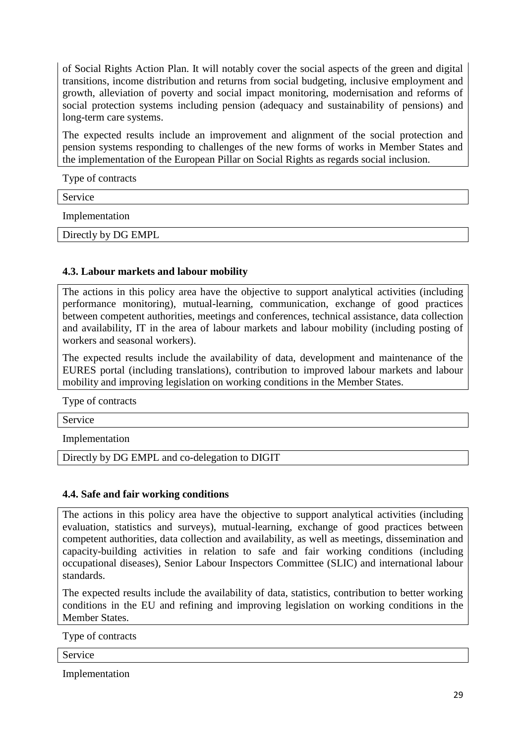of Social Rights Action Plan. It will notably cover the social aspects of the green and digital transitions, income distribution and returns from social budgeting, inclusive employment and growth, alleviation of poverty and social impact monitoring, modernisation and reforms of social protection systems including pension (adequacy and sustainability of pensions) and long-term care systems.

The expected results include an improvement and alignment of the social protection and pension systems responding to challenges of the new forms of works in Member States and the implementation of the European Pillar on Social Rights as regards social inclusion.

Type of contracts

Service

Implementation

Directly by DG EMPL

# <span id="page-28-0"></span>**4.3. Labour markets and labour mobility**

The actions in this policy area have the objective to support analytical activities (including performance monitoring), mutual-learning, communication, exchange of good practices between competent authorities, meetings and conferences, technical assistance, data collection and availability, IT in the area of labour markets and labour mobility (including posting of workers and seasonal workers).

The expected results include the availability of data, development and maintenance of the EURES portal (including translations), contribution to improved labour markets and labour mobility and improving legislation on working conditions in the Member States.

Type of contracts

Service

Implementation

Directly by DG EMPL and co-delegation to DIGIT

# <span id="page-28-1"></span>**4.4. Safe and fair working conditions**

The actions in this policy area have the objective to support analytical activities (including evaluation, statistics and surveys), mutual-learning, exchange of good practices between competent authorities, data collection and availability, as well as meetings, dissemination and capacity-building activities in relation to safe and fair working conditions (including occupational diseases), Senior Labour Inspectors Committee (SLIC) and international labour standards.

The expected results include the availability of data, statistics, contribution to better working conditions in the EU and refining and improving legislation on working conditions in the Member States.

Type of contracts

Service

Implementation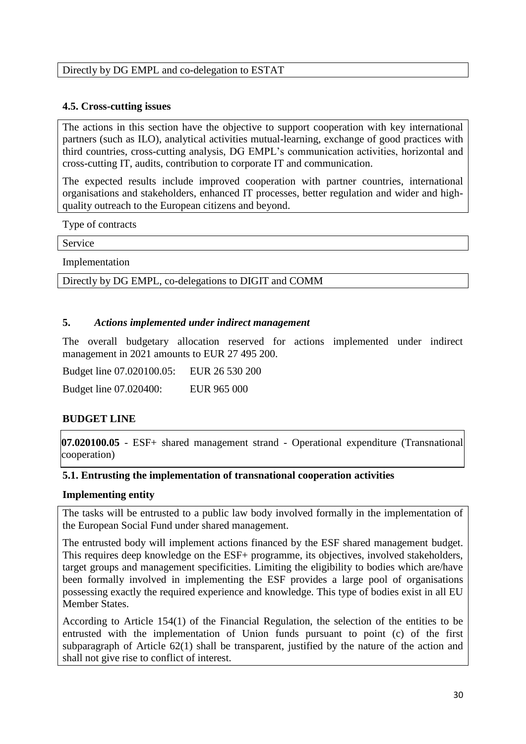## Directly by DG EMPL and co-delegation to ESTAT

## <span id="page-29-0"></span>**4.5. Cross-cutting issues**

The actions in this section have the objective to support cooperation with key international partners (such as ILO), analytical activities mutual-learning, exchange of good practices with third countries, cross-cutting analysis, DG EMPL's communication activities, horizontal and cross-cutting IT, audits, contribution to corporate IT and communication.

The expected results include improved cooperation with partner countries, international organisations and stakeholders, enhanced IT processes, better regulation and wider and highquality outreach to the European citizens and beyond.

Type of contracts

Service

Implementation

Directly by DG EMPL, co-delegations to DIGIT and COMM

## <span id="page-29-1"></span>**5.** *Actions implemented under indirect management*

The overall budgetary allocation reserved for actions implemented under indirect management in 2021 amounts to EUR 27 495 200.

Budget line 07.020100.05: EUR 26 530 200 Budget line 07.020400: EUR 965 000

# **BUDGET LINE**

**07.020100.05** - ESF+ shared management strand - Operational expenditure (Transnational cooperation)

### <span id="page-29-2"></span>**5.1. Entrusting the implementation of transnational cooperation activities**

### **Implementing entity**

The tasks will be entrusted to a public law body involved formally in the implementation of the European Social Fund under shared management.

The entrusted body will implement actions financed by the ESF shared management budget. This requires deep knowledge on the ESF+ programme, its objectives, involved stakeholders, target groups and management specificities. Limiting the eligibility to bodies which are/have been formally involved in implementing the ESF provides a large pool of organisations possessing exactly the required experience and knowledge. This type of bodies exist in all EU Member States.

According to Article 154(1) of the Financial Regulation, the selection of the entities to be entrusted with the implementation of Union funds pursuant to point (c) of the first subparagraph of Article 62(1) shall be transparent, justified by the nature of the action and shall not give rise to conflict of interest.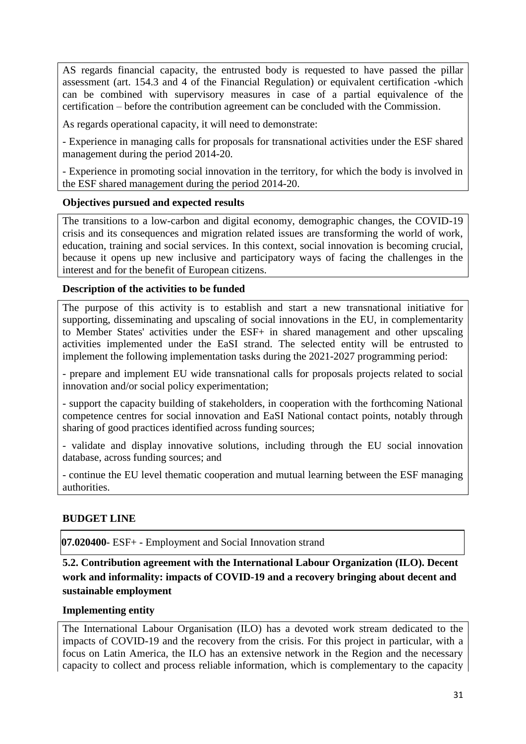AS regards financial capacity, the entrusted body is requested to have passed the pillar assessment (art. 154.3 and 4 of the Financial Regulation) or equivalent certification -which can be combined with supervisory measures in case of a partial equivalence of the certification – before the contribution agreement can be concluded with the Commission.

As regards operational capacity, it will need to demonstrate:

- Experience in managing calls for proposals for transnational activities under the ESF shared management during the period 2014-20.

- Experience in promoting social innovation in the territory, for which the body is involved in the ESF shared management during the period 2014-20.

# **Objectives pursued and expected results**

The transitions to a low-carbon and digital economy, demographic changes, the COVID-19 crisis and its consequences and migration related issues are transforming the world of work, education, training and social services. In this context, social innovation is becoming crucial, because it opens up new inclusive and participatory ways of facing the challenges in the interest and for the benefit of European citizens.

# **Description of the activities to be funded**

The purpose of this activity is to establish and start a new transnational initiative for supporting, disseminating and upscaling of social innovations in the EU, in complementarity to Member States' activities under the ESF+ in shared management and other upscaling activities implemented under the EaSI strand. The selected entity will be entrusted to implement the following implementation tasks during the 2021-2027 programming period:

- prepare and implement EU wide transnational calls for proposals projects related to social innovation and/or social policy experimentation;

- support the capacity building of stakeholders, in cooperation with the forthcoming National competence centres for social innovation and EaSI National contact points, notably through sharing of good practices identified across funding sources;

- validate and display innovative solutions, including through the EU social innovation database, across funding sources; and

- continue the EU level thematic cooperation and mutual learning between the ESF managing authorities.

# **BUDGET LINE**

**07.020400**- ESF+ - Employment and Social Innovation strand

<span id="page-30-0"></span>**5.2. Contribution agreement with the International Labour Organization (ILO). Decent work and informality: impacts of COVID-19 and a recovery bringing about decent and sustainable employment**

## **Implementing entity**

The International Labour Organisation (ILO) has a devoted work stream dedicated to the impacts of COVID-19 and the recovery from the crisis. For this project in particular, with a focus on Latin America, the ILO has an extensive network in the Region and the necessary capacity to collect and process reliable information, which is complementary to the capacity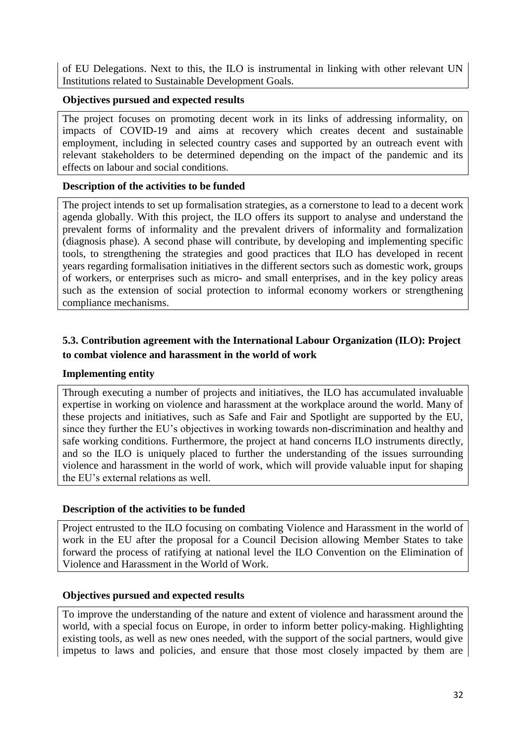of EU Delegations. Next to this, the ILO is instrumental in linking with other relevant UN Institutions related to Sustainable Development Goals.

# **Objectives pursued and expected results**

The project focuses on promoting decent work in its links of addressing informality, on impacts of COVID-19 and aims at recovery which creates decent and sustainable employment, including in selected country cases and supported by an outreach event with relevant stakeholders to be determined depending on the impact of the pandemic and its effects on labour and social conditions.

# **Description of the activities to be funded**

The project intends to set up formalisation strategies, as a cornerstone to lead to a decent work agenda globally. With this project, the ILO offers its support to analyse and understand the prevalent forms of informality and the prevalent drivers of informality and formalization (diagnosis phase). A second phase will contribute, by developing and implementing specific tools, to strengthening the strategies and good practices that ILO has developed in recent years regarding formalisation initiatives in the different sectors such as domestic work, groups of workers, or enterprises such as micro- and small enterprises, and in the key policy areas such as the extension of social protection to informal economy workers or strengthening compliance mechanisms.

# <span id="page-31-0"></span>**5.3. Contribution agreement with the International Labour Organization (ILO): Project to combat violence and harassment in the world of work**

# **Implementing entity**

Through executing a number of projects and initiatives, the ILO has accumulated invaluable expertise in working on violence and harassment at the workplace around the world. Many of these projects and initiatives, such as Safe and Fair and Spotlight are supported by the EU, since they further the EU's objectives in working towards non-discrimination and healthy and safe working conditions. Furthermore, the project at hand concerns ILO instruments directly, and so the ILO is uniquely placed to further the understanding of the issues surrounding violence and harassment in the world of work, which will provide valuable input for shaping the EU's external relations as well.

# **Description of the activities to be funded**

Project entrusted to the ILO focusing on combating Violence and Harassment in the world of work in the EU after the proposal for a Council Decision allowing Member States to take forward the process of ratifying at national level the ILO Convention on the Elimination of Violence and Harassment in the World of Work.

# **Objectives pursued and expected results**

To improve the understanding of the nature and extent of violence and harassment around the world, with a special focus on Europe, in order to inform better policy-making. Highlighting existing tools, as well as new ones needed, with the support of the social partners, would give impetus to laws and policies, and ensure that those most closely impacted by them are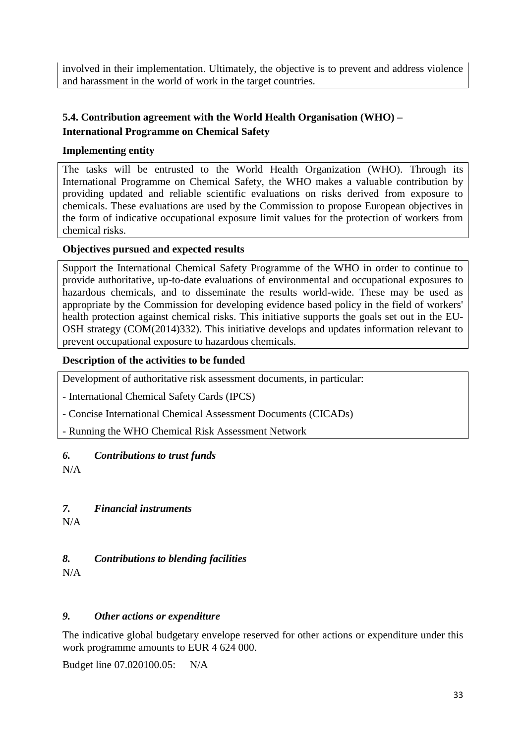involved in their implementation. Ultimately, the objective is to prevent and address violence and harassment in the world of work in the target countries.

# <span id="page-32-0"></span>**5.4. Contribution agreement with the World Health Organisation (WHO) – International Programme on Chemical Safety**

# **Implementing entity**

The tasks will be entrusted to the World Health Organization (WHO). Through its International Programme on Chemical Safety, the WHO makes a valuable contribution by providing updated and reliable scientific evaluations on risks derived from exposure to chemicals. These evaluations are used by the Commission to propose European objectives in the form of indicative occupational exposure limit values for the protection of workers from chemical risks.

# **Objectives pursued and expected results**

Support the International Chemical Safety Programme of the WHO in order to continue to provide authoritative, up-to-date evaluations of environmental and occupational exposures to hazardous chemicals, and to disseminate the results world-wide. These may be used as appropriate by the Commission for developing evidence based policy in the field of workers' health protection against chemical risks. This initiative supports the goals set out in the EU-OSH strategy (COM(2014)332). This initiative develops and updates information relevant to prevent occupational exposure to hazardous chemicals.

# **Description of the activities to be funded**

Development of authoritative risk assessment documents, in particular:

- International Chemical Safety Cards (IPCS)

- Concise International Chemical Assessment Documents (CICADs)

- Running the WHO Chemical Risk Assessment Network

# <span id="page-32-1"></span>*6. Contributions to trust funds*

N/A

# <span id="page-32-2"></span>*7. Financial instruments*

N/A

# <span id="page-32-3"></span>*8. Contributions to blending facilities*

N/A

# <span id="page-32-4"></span>*9. Other actions or expenditure*

The indicative global budgetary envelope reserved for other actions or expenditure under this work programme amounts to EUR 4 624 000.

Budget line 07.020100.05: N/A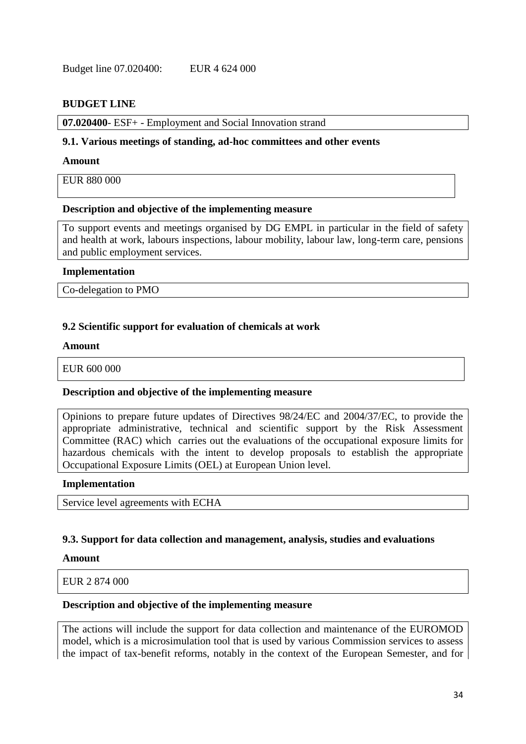## **BUDGET LINE**

**07.020400**- ESF+ - Employment and Social Innovation strand

#### <span id="page-33-0"></span>**9.1. Various meetings of standing, ad-hoc committees and other events**

#### **Amount**

EUR 880 000

## **Description and objective of the implementing measure**

To support events and meetings organised by DG EMPL in particular in the field of safety and health at work, labours inspections, labour mobility, labour law, long-term care, pensions and public employment services.

#### **Implementation**

Co-delegation to PMO

## <span id="page-33-1"></span>**9.2 Scientific support for evaluation of chemicals at work**

#### **Amount**

EUR 600 000

### **Description and objective of the implementing measure**

Opinions to prepare future updates of Directives 98/24/EC and 2004/37/EC, to provide the appropriate administrative, technical and scientific support by the Risk Assessment Committee (RAC) which carries out the evaluations of the occupational exposure limits for hazardous chemicals with the intent to develop proposals to establish the appropriate Occupational Exposure Limits (OEL) at European Union level.

#### **Implementation**

Service level agreements with ECHA

### <span id="page-33-2"></span>**9.3. Support for data collection and management, analysis, studies and evaluations**

#### **Amount**

EUR 2 874 000

### **Description and objective of the implementing measure**

The actions will include the support for data collection and maintenance of the EUROMOD model, which is a microsimulation tool that is used by various Commission services to assess the impact of tax-benefit reforms, notably in the context of the European Semester, and for